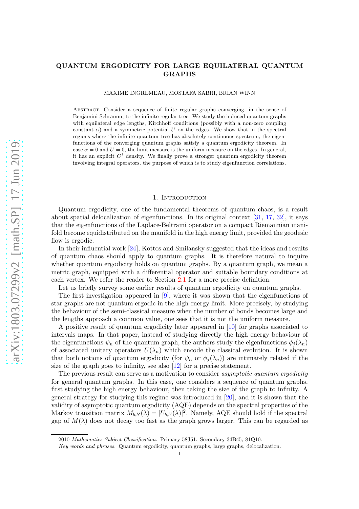## QUANTUM ERGODICITY FOR LARGE EQUILATERAL QUANTUM GRAPHS

MAXIME INGREMEAU, MOSTAFA SABRI, BRIAN WINN

Abstract. Consider a sequence of finite regular graphs converging, in the sense of Benjamini-Schramm, to the infinite regular tree. We study the induced quantum graphs with equilateral edge lengths, Kirchhoff conditions (possibly with a non-zero coupling constant  $\alpha$ ) and a symmetric potential U on the edges. We show that in the spectral regions where the infinite quantum tree has absolutely continuous spectrum, the eigenfunctions of the converging quantum graphs satisfy a quantum ergodicity theorem. In case  $\alpha = 0$  and  $U = 0$ , the limit measure is the uniform measure on the edges. In general, it has an explicit  $C<sup>1</sup>$  density. We finally prove a stronger quantum ergodicity theorem involving integral operators, the purpose of which is to study eigenfunction correlations.

#### 1. Introduction

Quantum ergodicity, one of the fundamental theorems of quantum chaos, is a result about spatial delocalization of eigenfunctions. In its original context [\[31,](#page-25-0) [17,](#page-25-1) [32\]](#page-25-2), it says that the eigenfunctions of the Laplace-Beltrami operator on a compact Riemannian manifold become equidistributed on the manifold in the high energy limit, provided the geodesic flow is ergodic.

In their influential work [\[24\]](#page-25-3), Kottos and Smilansky suggested that the ideas and results of quantum chaos should apply to quantum graphs. It is therefore natural to inquire whether quantum ergodicity holds on quantum graphs. By a quantum graph, we mean a metric graph, equipped with a differential operator and suitable boundary conditions at each vertex. We refer the reader to Section [2.1](#page-2-0) for a more precise definition.

Let us briefly survey some earlier results of quantum ergodicity on quantum graphs.

The first investigation appeared in [\[9\]](#page-25-4), where it was shown that the eigenfunctions of star graphs are not quantum ergodic in the high energy limit. More precisely, by studying the behaviour of the semi-classical measure when the number of bonds becomes large and the lengths approach a common value, one sees that it is not the uniform measure.

A positive result of quantum ergodicity later appeared in [\[10\]](#page-25-5) for graphs associated to intervals maps. In that paper, instead of studying directly the high energy behaviour of the eigenfunctions  $\psi_n$  of the quantum graph, the authors study the eigenfunctions  $\phi_i(\lambda_n)$ of associated unitary operators  $U(\lambda_n)$  which encode the classical evolution. It is shown that both notions of quantum ergodicity (for  $\psi_n$  or  $\phi_i(\lambda_n)$ ) are intimately related if the size of the graph goes to infinity, see also [\[12\]](#page-25-6) for a precise statement.

The previous result can serve as a motivation to consider *asymptotic quantum ergodicity* for general quantum graphs. In this case, one considers a sequence of quantum graphs, first studying the high energy behaviour, then taking the size of the graph to infinity. A general strategy for studying this regime was introduced in [\[20\]](#page-25-7), and it is shown that the validity of asymptotic quantum ergodicity (AQE) depends on the spectral properties of the Markov transition matrix  $M_{b,b'}(\lambda) = |U_{b,b'}(\lambda)|^2$ . Namely, AQE should hold if the spectral gap of  $M(\lambda)$  does not decay too fast as the graph grows larger. This can be regarded as

<sup>2010</sup> *Mathematics Subject Classification.* Primary 58J51. Secondary 34B45, 81Q10.

*Key words and phrases.* Quantum ergodicity, quantum graphs, large graphs, delocalization.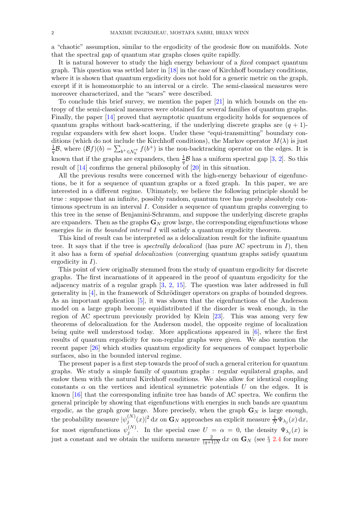a "chaotic" assumption, similar to the ergodicity of the geodesic flow on manifolds. Note that the spectral gap of quantum star graphs closes quite rapidly.

It is natural however to study the high energy behaviour of a fixed compact quantum graph. This question was settled later in [\[18\]](#page-25-8) in the case of Kirchhoff boundary conditions, where it is shown that quantum ergodicity does not hold for a generic metric on the graph, except if it is homeomorphic to an interval or a circle. The semi-classical measures were moreover characterized, and the "scars" were described.

To conclude this brief survey, we mention the paper [\[21\]](#page-25-9) in which bounds on the entropy of the semi-classical measures were obtained for several families of quantum graphs. Finally, the paper [\[14\]](#page-25-10) proved that asymptotic quantum ergodicity holds for sequences of quantum graphs without back-scattering, if the underlying discrete graphs are  $(q + 1)$ regular expanders with few short loops. Under these "equi-transmitting" boundary conditions (which do not include the Kirchhoff conditions), the Markov operator  $M(\lambda)$  is just 1  $\frac{1}{q}B$ , where  $(\mathcal{B}f)(b) = \sum_{b^+\in\mathcal{N}_b^+} f(b^+)$  is the non-backtracking operator on the edges. It is known that if the graphs are expanders, then  $\frac{1}{q}B$  has a uniform spectral gap [\[3,](#page-24-0) [2\]](#page-24-1). So this result of [\[14\]](#page-25-10) confirms the general philosophy of [\[20\]](#page-25-7) in this situation.

All the previous results were concerned with the high-energy behaviour of eigenfunctions, be it for a sequence of quantum graphs or a fixed graph. In this paper, we are interested in a different regime. Ultimately, we believe the following principle should be true : suppose that an infinite, possibly random, quantum tree has purely absolutely continuous spectrum in an interval I. Consider a sequence of quantum graphs converging to this tree in the sense of Benjamini-Schramm, and suppose the underlying discrete graphs are expanders. Then as the graphs  $G_N$  grow large, the corresponding eigenfunctions whose energies *lie in the bounded interval I* will satisfy a quantum ergodicity theorem.

This kind of result can be interpreted as a delocalization result for the infinite quantum tree. It says that if the tree is *spectrally delocalized* (has pure AC spectrum in  $I$ ), then it also has a form of spatial delocalization (converging quantum graphs satisfy quantum ergodicity in  $I$ ).

This point of view originally stemmed from the study of quantum ergodicity for discrete graphs. The first incarnations of it appeared in the proof of quantum ergodicity for the adjacency matrix of a regular graph  $[3, 2, 15]$  $[3, 2, 15]$  $[3, 2, 15]$  $[3, 2, 15]$ . The question was later addressed in full generality in  $[4]$ , in the framework of Schrödinger operators on graphs of bounded degrees. As an important application [\[5\]](#page-24-3), it was shown that the eigenfunctions of the Anderson model on a large graph become equidistributed if the disorder is weak enough, in the region of AC spectrum previously provided by Klein [\[23\]](#page-25-12). This was among very few theorems of delocalization for the Anderson model, the opposite regime of localization being quite well understood today. More applications appeared in [\[6\]](#page-24-4), where the first results of quantum ergodicity for non-regular graphs were given. We also mention the recent paper [\[26\]](#page-25-13) which studies quantum ergodicity for sequences of compact hyperbolic surfaces, also in the bounded interval regime.

The present paper is a first step towards the proof of such a general criterion for quantum graphs. We study a simple family of quantum graphs : regular equilateral graphs, and endow them with the natural Kirchhoff conditions. We also allow for identical coupling constants  $\alpha$  on the vertices and identical symmetric potentials U on the edges. It is known [\[16\]](#page-25-14) that the corresponding infinite tree has bands of AC spectra. We confirm the general principle by showing that eigenfunctions with energies in such bands are quantum ergodic, as the graph grow large. More precisely, when the graph  $\mathbf{G}_N$  is large enough, the probability measure  $|\psi_j^{(N)}\>$  $\int_j^{(N)} (x) \vert^2 dx$  on  $\mathbf{G}_N$  approaches an explicit measure  $\frac{1}{N} \Psi_{\lambda_j}(x) dx$ , for most eigenfunctions  $\psi_i^{(N)}$  $j^{(N)}$ . In the special case  $U = \alpha = 0$ , the density  $\Psi_{\lambda_j}(x)$  is just a constant and we obtain the uniform measure  $\frac{2}{(q+1)N} dx$  on  $\mathbf{G}_N$  (see § [2.4](#page-6-0) for more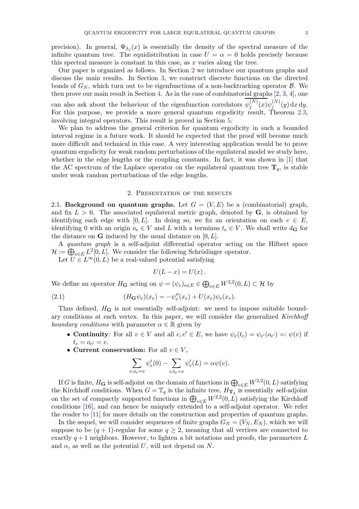precision). In general,  $\Psi_{\lambda_j}(x)$  is essentially the density of the spectral measure of the infinite quantum tree. The equidistribution in case  $U = \alpha = 0$  holds precisely because this spectral measure is constant in this case, as  $x$  varies along the tree.

Our paper is organized as follows. In Section [2](#page-2-1) we introduce our quantum graphs and discuss the main results. In Section [3,](#page-8-0) we construct discrete functions on the directed bonds of  $G_N$ , which turn out to be eigenfunctions of a non-backtracking operator  $\mathcal{B}$ . We then prove our main result in Section [4.](#page-10-0) As in the case of combinatorial graphs  $[2, 3, 4]$  $[2, 3, 4]$  $[2, 3, 4]$  $[2, 3, 4]$ , one can also ask about the behaviour of the eigenfunction correlators  $\psi_i^{(N)}$  $j^{(N)}(x)\psi_j^{(N)}$  $j^{(IV)}(y) dx dy.$ For this purpose, we provide a more general quantum ergodicity result, Theorem [2.3,](#page-5-0) involving integral operators. This result is proved in Section [5.](#page-19-0)

We plan to address the general criterion for quantum ergodicity in such a bounded interval regime in a future work. It should be expected that the proof will become much more difficult and technical in this case. A very interesting application would be to prove quantum ergodicity for weak random perturbations of the equilateral model we study here, whether in the edge lengths or the coupling constants. In fact, it was shown in  $[1]$  that the AC spectrum of the Laplace operator on the equilateral quantum tree  $\mathbf{T}_q$ , is stable under weak random perturbations of the edge lengths.

#### 2. Presentation of the results

<span id="page-2-1"></span><span id="page-2-0"></span>2.1. Background on quantum graphs. Let  $G = (V, E)$  be a (combinatorial) graph, and fix  $L > 0$ . The associated equilateral metric graph, denoted by  $\bf{G}$ , is obtained by identifying each edge with [0, L]. In doing so, we fix an orientation on each  $e \in E$ , identifying 0 with an origin  $o_e \in V$  and L with a terminus  $t_e \in V$ . We shall write  $d_G$  for the distance on  $G$  induced by the usual distance on  $[0, L]$ .

A quantum graph is a self-adjoint differential operator acting on the Hilbert space  $\mathcal{H} := \bigoplus_{e \in E} L^2[0, L].$  We consider the following Schrödinger operator.

Let  $U \in L^{\infty}(0, L)$  be a real-valued potential satisfying

<span id="page-2-2"></span>
$$
U(L-x) = U(x) .
$$

We define an operator  $H_G$  acting on  $\psi = (\psi_e)_{e \in E} \in \bigoplus_{e \in E} W^{2,2}(0,L) \subset \mathcal{H}$  by

(2.1) 
$$
(H_{\mathbf{G}}\psi_e)(x_e) = -\psi''_e(x_e) + U(x_e)\psi_e(x_e).
$$

Thus defined,  $H_G$  is not essentially self-adjoint: we need to impose suitable boundary conditions at each vertex. In this paper, we will consider the generalized Kirchhoff boundary conditions with parameter  $\alpha \in \mathbb{R}$  given by

- Continuity: For all  $v \in V$  and all  $e, e' \in E$ , we have  $\psi_e(t_e) = \psi_{e'}(o_{e'}) =: \psi(v)$  if  $t_e = o_{e'} = v.$
- Current conservation: For all  $v \in V$ ,

$$
\sum_{e: o_e=v} \psi'_e(0) - \sum_{e: t_e=v} \psi'_e(L) = \alpha \psi(v).
$$

If G is finite,  $H_G$  is self-adjoint on the domain of functions in  $\bigoplus_{e\in E}W^{2,2}(0,L)$  satisfying the Kirchhoff conditions. When  $G = \mathbb{T}_q$  is the infinite tree,  $H_{\mathbf{T}_q}$  is essentially self-adjoint on the set of compactly supported functions in  $\bigoplus_{e \in E} W^{2,2}(0,L)$  satisfying the Kirchhoff conditions [\[16\]](#page-25-14), and can hence be uniquely extended to a self-adjoint operator. We refer the reader to [\[11\]](#page-25-15) for more details on the construction and properties of quantum graphs.

In the sequel, we will consider sequences of finite graphs  $G_N = (V_N, E_N)$ , which we will suppose to be  $(q + 1)$ -regular for some  $q \geq 2$ , meaning that all vertices are connected to exactly  $q+1$  neighbors. However, to lighten a bit notations and proofs, the parameters L and  $\alpha$ , as well as the potential U, will not depend on N.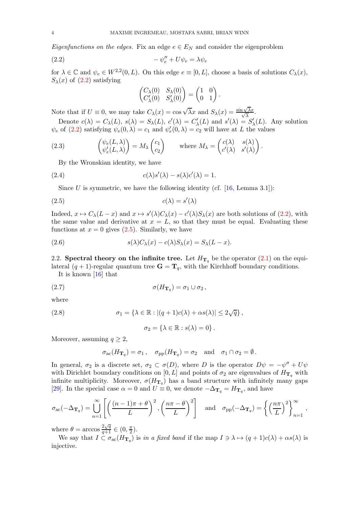*Eigenfunctions on the edges.* Fix an edge  $e \in E_N$  and consider the eigenproblem

$$
(2.2) \t\t -\psi''_e + U\psi_e = \lambda\psi_e
$$

for  $\lambda \in \mathbb{C}$  and  $\psi_e \in W^{2,2}(0,L)$ . On this edge  $e \equiv [0,L]$ , choose a basis of solutions  $C_{\lambda}(x)$ ,  $S_{\lambda}(x)$  of  $(2.2)$  satisfying

<span id="page-3-0"></span>
$$
\begin{pmatrix} C_{\lambda}(0) & S_{\lambda}(0) \\ C'_{\lambda}(0) & S'_{\lambda}(0) \end{pmatrix} = \begin{pmatrix} 1 & 0 \\ 0 & 1 \end{pmatrix}.
$$

Note that if  $U \equiv 0$ , we may take  $C_{\lambda}(x) = \cos \sqrt{\lambda}x$  and  $S_{\lambda}(x) = \frac{\sin \sqrt{\lambda}x}{\sqrt{\lambda}}$  $\frac{\sqrt{\lambda x}}{\lambda}$ .

Denote  $c(\lambda) = C_{\lambda}(L)$ ,  $s(\lambda) = S_{\lambda}(L)$ ,  $c'(\lambda) = C'_{\lambda}(L)$  and  $s'(\lambda) = S'_{\lambda}(L)$ . Any solution  $\psi_e$  of [\(2.2\)](#page-3-0) satisfying  $\psi_e(0,\lambda) = c_1$  and  $\psi'_e(0,\lambda) = c_2$  will have at L the values

(2.3) 
$$
\begin{pmatrix} \psi_e(L,\lambda) \\ \psi'_e(L,\lambda) \end{pmatrix} = M_\lambda \begin{pmatrix} c_1 \\ c_2 \end{pmatrix} \text{ where } M_\lambda = \begin{pmatrix} c(\lambda) & s(\lambda) \\ c'(\lambda) & s'(\lambda) \end{pmatrix}.
$$

<span id="page-3-3"></span>By the Wronskian identity, we have

(2.4) 
$$
c(\lambda)s'(\lambda) - s(\lambda)c'(\lambda) = 1.
$$

<span id="page-3-1"></span>Since U is symmetric, we have the following identity (cf.  $[16, \text{Lemma } 3.1]$ ):

$$
(2.5) \t\t c(\lambda) = s'(\lambda)
$$

Indeed,  $x \mapsto C_{\lambda}(L-x)$  and  $x \mapsto s'(\lambda)C_{\lambda}(x) - c'(\lambda)S_{\lambda}(x)$  are both solutions of [\(2.2\)](#page-3-0), with the same value and derivative at  $x = L$ , so that they must be equal. Evaluating these functions at  $x = 0$  gives  $(2.5)$ . Similarly, we have

<span id="page-3-4"></span>(2.6) 
$$
s(\lambda)C_{\lambda}(x) - c(\lambda)S_{\lambda}(x) = S_{\lambda}(L - x).
$$

2.2. Spectral theory on the infinite tree. Let  $H_{\mathbf{T}_q}$  be the operator [\(2.1\)](#page-2-2) on the equi-

lateral  $(q + 1)$ -regular quantum tree  $\mathbf{G} = \mathbf{T}_q$ , with the Kirchhoff boundary conditions. It is known [\[16\]](#page-25-14) that

(2.7) 
$$
\sigma(H_{\mathbf{T}_q}) = \sigma_1 \cup \sigma_2 ,
$$

where

(2.8) 
$$
\sigma_1 = \{ \lambda \in \mathbb{R} : |(q+1)c(\lambda) + \alpha s(\lambda)| \leq 2\sqrt{q} \},
$$

<span id="page-3-2"></span> $\sigma_2 = {\lambda \in \mathbb{R} : s(\lambda) = 0}.$ 

Moreover, assuming  $q \geq 2$ ,

$$
\sigma_{\text{ac}}(H_{\mathbf{T}_q}) = \sigma_1, \quad \sigma_{\text{pp}}(H_{\mathbf{T}_q}) = \sigma_2 \quad \text{and} \quad \sigma_1 \cap \sigma_2 = \emptyset.
$$

In general,  $\sigma_2$  is a discrete set,  $\sigma_2 \subset \sigma(D)$ , where D is the operator  $D\psi = -\psi'' + U\psi$ with Dirichlet boundary conditions on [0, L] and points of  $\sigma_2$  are eigenvalues of  $H_{\mathbf{T}_q}$  with infinite multiplicity. Moreover,  $\sigma(H_{\mathbf{T}_q})$  has a band structure with infinitely many gaps [\[29\]](#page-25-16). In the special case  $\alpha = 0$  and  $U \equiv 0$ , we denote  $-\Delta_{\mathbf{T}_q} = H_{\mathbf{T}_q}$ , and have

$$
\sigma_{\rm ac}(-\Delta_{\mathbf{T}_q}) = \bigcup_{n=1}^{\infty} \left[ \left( \frac{(n-1)\pi + \theta}{L} \right)^2, \left( \frac{n\pi - \theta}{L} \right)^2 \right] \quad \text{and} \quad \sigma_{\rm pp}(-\Delta_{\mathbf{T}_q}) = \left\{ \left( \frac{n\pi}{L} \right)^2 \right\}_{n=1}^{\infty},
$$

where  $\theta = \arccos \frac{2\sqrt{q}}{q+1} \in (0, \frac{\pi}{2})$  $\frac{\pi}{2}$ ).

We say that  $I \subset \sigma_{ac}(H_{\mathbf{T}_q})$  is in a fixed band if the map  $I \ni \lambda \mapsto (q+1)c(\lambda) + \alpha s(\lambda)$  is injective.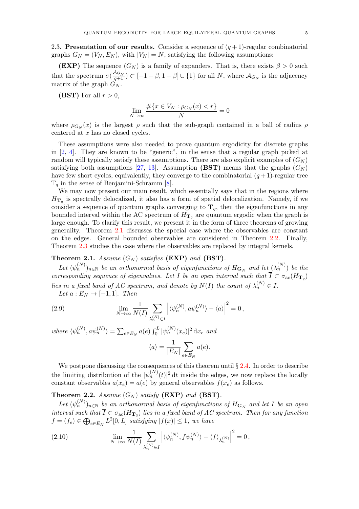2.3. Presentation of our results. Consider a sequence of  $(q + 1)$ -regular combinatorial graphs  $G_N = (V_N, E_N)$ , with  $|V_N| = N$ , satisfying the following assumptions:

(EXP) The sequence  $(G_N)$  is a family of expanders. That is, there exists  $\beta > 0$  such that the spectrum  $\sigma(\frac{\mathcal{A}_{G_N}}{q+1}) \subset [-1+\beta, 1-\beta] \cup \{1\}$  for all N, where  $\mathcal{A}_{G_N}$  is the adjacency matrix of the graph  $\tilde{G}_N$ .

(BST) For all  $r > 0$ ,

$$
\lim_{N \to \infty} \frac{\#\{x \in V_N : \rho_{G_N}(x) < r\}}{N} = 0
$$

where  $\rho_{G_N}(x)$  is the largest  $\rho$  such that the sub-graph contained in a ball of radius  $\rho$ centered at x has no closed cycles.

These assumptions were also needed to prove quantum ergodicity for discrete graphs in [\[2,](#page-24-1) [4\]](#page-24-2). They are known to be "generic", in the sense that a regular graph picked at random will typically satisfy these assumptions. There are also explicit examples of  $(G_N)$ satisfying both assumptions [\[27,](#page-25-17) [13\]](#page-25-18). Assumption (BST) means that the graphs  $(G_N)$ have few short cycles, equivalently, they converge to the combinatorial  $(q+1)$ -regular tree  $\mathbb{T}_q$  in the sense of Benjamini-Schramm [\[8\]](#page-25-19).

We may now present our main result, which essentially says that in the regions where  $H_{\mathbf{T}_q}$  is spectrally delocalized, it also has a form of spatial delocalization. Namely, if we consider a sequence of quantum graphs converging to  $\mathbf{T}_q$ , then the eigenfunctions in any bounded interval within the AC spectrum of  $H_{\mathbf{T}_q}$  are quantum ergodic when the graph is large enough. To clarify this result, we present it in the form of three theorems of growing generality. Theorem [2.1](#page-4-0) discusses the special case where the observables are constant on the edges. General bounded observables are considered in Theorem [2.2.](#page-4-1) Finally, Theorem [2.3](#page-5-0) studies the case where the observables are replaced by integral kernels.

## <span id="page-4-0"></span>**Theorem 2.1.** Assume  $(G_N)$  satisfies (EXP) and (BST).

Let  $(\psi_n^{(N)})_{n\in\mathbb{N}}$  be an orthonormal basis of eigenfunctions of  $H_{\mathbf{G}_N}$  and let  $(\lambda_n^{(N)})$  be the corresponding sequence of eigenvalues. Let I be an open interval such that  $I \subset \sigma_{ac}(H_{\mathbf{T}_q})$ 

lies in a fixed band of AC spectrum, and denote by  $N(I)$  the count of  $\lambda_n^{(N)} \in I$ .

Let  $a: E_N \to [-1,1]$ . Then

(2.9) 
$$
\lim_{N \to \infty} \frac{1}{N(I)} \sum_{\lambda_n^{(N)} \in I} \left| \langle \psi_n^{(N)}, a \psi_n^{(N)} \rangle - \langle a \rangle \right|^2 = 0,
$$

where  $\langle \psi_n^{(N)}, a\psi_n^{(N)} \rangle = \sum_{e \in E_N} a(e) \int_0^L |\psi_n^{(N)}(x_e)|^2 dx_e$  and

<span id="page-4-2"></span>
$$
\langle a \rangle = \frac{1}{|E_N|} \sum_{e \in E_N} a(e).
$$

We postpone discussing the consequences of this theorem until  $\S 2.4$ . In order to describe the limiting distribution of the  $|\psi_n^{(N)}(t)|^2 dt$  inside the edges, we now replace the locally constant observables  $a(x_e) = a(e)$  by general observables  $f(x_e)$  as follows.

# <span id="page-4-1"></span>**Theorem 2.2.** Assume  $(G_N)$  satisfy (EXP) and (BST).

Let  $(\psi_n^{(N)})_{n\in\mathbb{N}}$  be an orthonormal basis of eigenfunctions of  $H_{\mathbf{G}_N}$  and let I be an open interval such that  $I \subset \sigma_{\rm ac}(H_{\rm T_q})$  lies in a fixed band of AC spectrum. Then for any function  $f = (f_e) \in \bigoplus_{e \in E_N} L^2[0, L]$  satisfying  $|f(x)| \leq 1$ , we have

<span id="page-4-3"></span>(2.10) 
$$
\lim_{N \to \infty} \frac{1}{N(I)} \sum_{\lambda_n^{(N)} \in I} \left| \langle \psi_n^{(N)}, f \psi_n^{(N)} \rangle - \langle f \rangle_{\lambda_n^{(N)}} \right|^2 = 0,
$$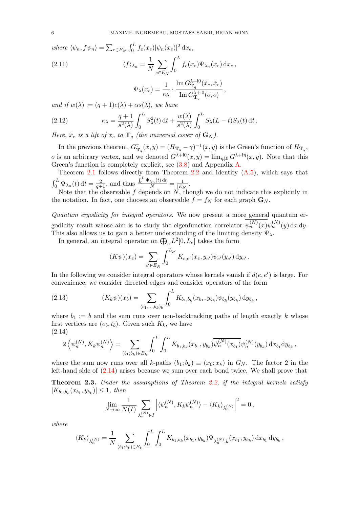where  $\langle \psi_n, f \psi_n \rangle = \sum_{e \in E_N} \int_0^L f_e(x_e) |\psi_n(x_e)|^2 dx_e$ ,

<span id="page-5-2"></span>(2.11) 
$$
\langle f \rangle_{\lambda_n} = \frac{1}{N} \sum_{e \in E_N} \int_0^L f_e(x_e) \Psi_{\lambda_n}(x_e) dx_e,
$$

$$
\Psi_{\lambda}(x_e) = \frac{1}{\kappa_{\lambda}} \cdot \frac{\operatorname{Im} G_{\mathbf{T}_q}^{\lambda + i0}(\tilde{x}_e, \tilde{x}_e)}{\operatorname{Im} G_{\mathbf{T}_q}^{\lambda + i0}(o, o)},
$$

and if  $w(\lambda) := (q+1)c(\lambda) + \alpha s(\lambda)$ , we have

<span id="page-5-3"></span>(2.12) 
$$
\kappa_{\lambda} = \frac{q+1}{s^2(\lambda)} \int_0^L S_{\lambda}^2(t) dt + \frac{w(\lambda)}{s^2(\lambda)} \int_0^L S_{\lambda}(L-t) S_{\lambda}(t) dt.
$$

Here,  $\tilde{x}_e$  is a lift of  $x_e$  to  $\mathbf{T}_q$  (the universal cover of  $\mathbf{G}_N$ ).

In the previous theorem,  $G_{\mathbf{T}_q}^{\gamma}(x, y) = (H_{\mathbf{T}_q} - \gamma)^{-1}(x, y)$  is the Green's function of  $H_{\mathbf{T}_q}$ , o is an arbitrary vertex, and we denoted  $G^{\lambda+i0}(x, y) = \lim_{\eta \downarrow 0} G^{\lambda+i\eta}(x, y)$ . Note that this Green's function is completely explicit, see  $(3.8)$  and Appendix [A.](#page-22-0)

Theorem [2.1](#page-4-0) follows directly from Theorem [2.2](#page-4-1) and identity [\(A.5\)](#page-24-6), which says that  $\int_0^L \Psi_{\lambda_n}(t) dt = \frac{2}{q+1}$ , and thus  $\frac{\int_0^L \Psi_{\lambda_n}(t) dt}{N} = \frac{1}{|E|}$  $\frac{1}{|E_N|}$ .

Note that the observable  $f$  depends on  $N$ , though we do not indicate this explicitly in the notation. In fact, one chooses an observable  $f = f_N$  for each graph  $\mathbf{G}_N$ .

Quantum ergodicity for integral operators. We now present a more general quantum ergodicity result whose aim is to study the eigenfunction correlator  $\psi_n^{(N)}(x)\psi_n^{(N)}(y) dx dy$ . This also allows us to gain a better understanding of the limiting density  $\Psi_{\lambda}$ .

In general, an integral operator on  $\bigoplus_e L^2[0,L_e]$  takes the form

$$
(K\psi)(x_e) = \sum_{e' \in E_N} \int_0^{L_{e'}} K_{e,e'}(x_e, y_{e'}) \psi_{e'}(y_{e'}) \, dy_{e'}.
$$

In the following we consider integral operators whose kernels vanish if  $d(e, e')$  is large. For convenience, we consider directed edges and consider operators of the form

(2.13) 
$$
(K_k \psi)(x_b) = \sum_{(b_1,\ldots,b_k)_b} \int_0^L K_{b_1,b_k}(x_{b_1},y_{b_k}) \psi_{b_k}(y_{b_k}) dy_{b_k},
$$

where  $b_1 := b$  and the sum runs over non-backtracking paths of length exactly k whose first vertices are  $(o_b, t_b)$ . Given such  $K_k$ , we have (2.14)

<span id="page-5-1"></span>
$$
2\left\langle \psi_n^{(N)}, K_k \psi_n^{(N)} \right\rangle = \sum_{(b_1; b_k) \in B_k} \int_0^L \int_0^L K_{b_1, b_k}(x_{b_1}, y_{b_k}) \overline{\psi_n^{(N)}(x_{b_1})} \psi_n^{(N)}(y_{b_k}) dx_{b_1} dy_{b_k},
$$

where the sum now runs over all k-paths  $(b_1; b_k) \equiv (x_0; x_k)$  in  $G_N$ . The factor 2 in the left-hand side of [\(2.14\)](#page-5-1) arises because we sum over each bond twice. We shall prove that

<span id="page-5-0"></span>**Theorem 2.3.** Under the assumptions of Theorem [2.2,](#page-4-1) if the integral kernels satisfy  $|K_{b_1,b_k}(x_{b_1},y_{b_k})| \leq 1$ , then

$$
\lim_{N \to \infty} \frac{1}{N(I)} \sum_{\lambda_n^{(N)} \in I} \left| \langle \psi_n^{(N)}, K_k \psi_n^{(N)} \rangle - \langle K_k \rangle_{\lambda_n^{(N)}} \right|^2 = 0,
$$

where

$$
\langle K_{k} \rangle_{\lambda_{n}^{(N)}} = \frac{1}{N} \sum_{(b_1; b_k) \in B_k} \int_0^L \int_0^L K_{b_1, b_k}(x_{b_1}, y_{b_k}) \Psi_{\lambda_{n}^{(N)}, k}(x_{b_1}, y_{b_k}) dx_{b_1} dy_{b_k},
$$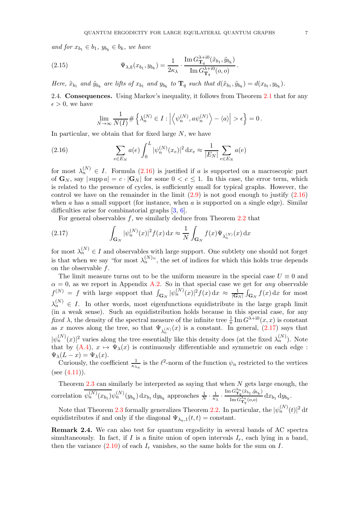and for  $x_{b_1} \in b_1$ ,  $y_{b_k} \in b_k$ , we have

(2.15) 
$$
\Psi_{\lambda,k}(x_{b_1}, y_{b_k}) = \frac{1}{2\kappa_{\lambda}} \cdot \frac{\operatorname{Im} G_{\mathbf{T}_q}^{\lambda+{\rm i}0}(\tilde{x}_{b_1}, \tilde{y}_{b_k})}{\operatorname{Im} G_{\mathbf{T}_q}^{\lambda+{\rm i}0}(o, o)}.
$$

<span id="page-6-0"></span>Here,  $\tilde{x}_{b_1}$  and  $\tilde{y}_{b_k}$  are lifts of  $x_{b_1}$  and  $y_{b_k}$  to  $\mathbf{T}_q$  such that  $d(\tilde{x}_{b_1}, \tilde{y}_{b_k}) = d(x_{b_1}, y_{b_k})$ .

2.4. **Consequences.** Using Markov's inequality, it follows from Theorem [2.1](#page-4-0) that for any  $\epsilon > 0$ , we have

<span id="page-6-3"></span><span id="page-6-1"></span>
$$
\lim_{N \to \infty} \frac{1}{N(I)} \# \left\{ \lambda_n^{(N)} \in I : \left| \left\langle \psi_n^{(N)}, a \psi_n^{(N)} \right\rangle - \langle a \rangle \right| > \epsilon \right\} = 0.
$$

In particular, we obtain that for fixed large  $N$ , we have

(2.16) 
$$
\sum_{e \in E_N} a(e) \int_0^L |\psi_n^{(N)}(x_e)|^2 dx_e \approx \frac{1}{|E_N|} \sum_{e \in E_N} a(e)
$$

for most  $\lambda_n^{(N)} \in I$ . Formula [\(2.16\)](#page-6-1) is justified if a is supported on a macroscopic part of  $\mathbf{G}_N$ , say  $|\text{supp }a|=c\cdot |\mathbf{G}_N|$  for some  $0 < c \leq 1$ . In this case, the error term, which is related to the presence of cycles, is sufficiently small for typical graphs. However, the control we have on the remainder in the limit  $(2.9)$  is not good enough to justify  $(2.16)$ when a has a small support (for instance, when a is supported on a single edge). Similar difficulties arise for combinatorial graphs [\[3,](#page-24-0) [6\]](#page-24-4).

<span id="page-6-2"></span>For general observables  $f$ , we similarly deduce from Theorem [2.2](#page-4-1) that

(2.17) 
$$
\int_{\mathbf{G}_N} |\psi_n^{(N)}(x)|^2 f(x) dx \approx \frac{1}{N} \int_{\mathbf{G}_N} f(x) \Psi_{\lambda_n^{(N)}}(x) dx
$$

for most  $\lambda_n^{(N)} \in I$  and observables with large support. One subtlety one should not forget is that when we say "for most  $\lambda_n^{(N)}$ ", the set of indices for which this holds true depends on the observable f.

The limit measure turns out to be the uniform measure in the special case  $U \equiv 0$  and  $\alpha = 0$ , as we report in Appendix [A.2.](#page-23-0) So in that special case we get for any observable  $f^{(N)} = f$  with large support that  $\int_{\mathbf{G}_N} |\psi_n^{(N)}(x)|^2 f(x) dx \approx \frac{1}{|\mathbf{G}_N|} \int_{\mathbf{G}_N} f(x) dx$  for most  $\lambda_n^{(N)} \in I$ . In other words, most eigenfunctions equidistribute in the large graph limit (in a weak sense). Such an equidistribution holds because in this special case, for any fixed  $\lambda$ , the density of the spectral measure of the infinite tree  $\frac{1}{\pi}$  Im  $G^{\lambda+i0}(x, x)$  is constant as x moves along the tree, so that  $\Psi_{\lambda_n^{(N)}}(x)$  is a constant. In general,  $(2.17)$  says that  $|\psi_n^{(N)}(x)|^2$  varies along the tree essentially like this density does (at the fixed  $\lambda_n^{(N)}$ ). Note that by  $(A.4)$ ,  $x \mapsto \Psi_{\lambda}(x)$  is continuously differentiable and symmetric on each edge :  $\Psi_{\lambda}(L-x) = \Psi_{\lambda}(x).$ 

Curiously, the coefficient  $\frac{1}{\kappa_{\lambda_n}}$  is the  $\ell^2$ -norm of the function  $\psi_n$  restricted to the vertices (see  $(4.11)$ ).

Theorem  $2.3$  can similarly be interpreted as saying that when  $N$  gets large enough, the correlation  $\psi_n^{(N)}(x_{b_1})\psi_n^{(N)}(y_{b_k}) dx_{b_1} dy_{b_k}$  approaches  $\frac{1}{N} \cdot \frac{1}{\kappa_N}$  $\frac{1}{\kappa_{\lambda}}$  .  $\operatorname{Im} G^{\lambda n}_{\mathbf{T}q}(\tilde{x}_{b_1}, \tilde{y}_{b_k})$  $\frac{\Gamma_q \leftarrow 0} {\operatorname{Im} G_{\mathbf{T}_q}^{\lambda_n}(o,o)} \mathrm{d} x_{b_1} \mathrm{d} y_{b_k}.$ 

Note that Theorem [2.3](#page-5-0) formally generalizes Theorem [2.2.](#page-4-1) In particular, the  $|\psi_n^{(N)}(t)|^2 dt$ equidistributes if and only if the diagonal  $\Psi_{\lambda_n,1}(t,t) = \text{constant}$ .

**Remark 2.4.** We can also test for quantum ergodicity in several bands of AC spectra simultaneously. In fact, if I is a finite union of open intervals  $I_r$ , each lying in a band, then the variance  $(2.10)$  of each  $I_r$  vanishes, so the same holds for the sum on I.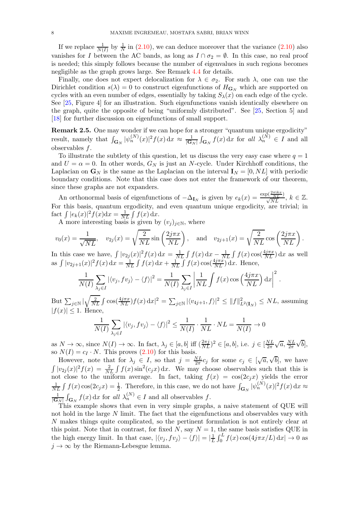If we replace  $\frac{1}{N(I)}$  by  $\frac{1}{N}$  in [\(2.10\)](#page-4-3), we can deduce moreover that the variance (2.10) also vanishes for I between the AC bands, as long as  $I \cap \sigma_2 = \emptyset$ . In this case, no real proof is needed; this simply follows because the number of eigenvalues in such regions becomes negligible as the graph grows large. See Remark [4.4](#page-16-0) for details.

Finally, one does not expect delocalization for  $\lambda \in \sigma_2$ . For such  $\lambda$ , one can use the Dirichlet condition  $s(\lambda) = 0$  to construct eigenfunctions of  $H_{\mathbf{G}_N}$  which are supported on cycles with an even number of edges, essentially by taking  $S_\lambda(x)$  on each edge of the cycle. See [\[25,](#page-25-20) Figure 4] for an illustration. Such eigenfunctions vanish identically elsewhere on the graph, quite the opposite of being "uniformly distributed". See [\[25,](#page-25-20) Section 5] and [\[18\]](#page-25-8) for further discussion on eigenfunctions of small support.

**Remark 2.5.** One may wonder if we can hope for a stronger "quantum unique ergodicity" result, namely that  $\int_{\mathbf{G}_N} |\psi_n^{(N)}(x)|^2 f(x) dx \approx \frac{1}{|\mathbf{G}_N|} \int_{\mathbf{G}_N} f(x) dx$  for all  $\lambda_n^{(N)} \in I$  and all observables f.

To illustrate the subtlety of this question, let us discuss the very easy case where  $q = 1$ and  $U = \alpha = 0$ . In other words,  $G_N$  is just an N-cycle. Under Kirchhoff conditions, the Laplacian on  $\mathbf{G}_N$  is the same as the Laplacian on the interval  $\mathbf{I}_N = [0, NL]$  with periodic boundary conditions. Note that this case does not enter the framework of our theorem, since these graphs are not expanders.

An orthonormal basis of eigenfunctions of  $-\Delta_{\mathbf{I}_N}$  is given by  $e_k(x) = \frac{\exp(\frac{2\pi ikx}{NL})}{\sqrt{NL}}, k \in \mathbb{Z}$ . For this basis, quantum ergodicity, and even quantum unique ergodicity, are trivial; in fact  $\int |e_k(x)|^2 f(x) dx = \frac{1}{N}$  $\frac{1}{NL}\int f(x) dx.$ 

A more interesting basis is given by  $(v_i)_{i\in\mathbb{N}}$ , where

$$
v_0(x) = \frac{1}{\sqrt{NL}}, \quad v_{2j}(x) = \sqrt{\frac{2}{NL}} \sin\left(\frac{2j\pi x}{NL}\right), \quad \text{and} \quad v_{2j+1}(x) = \sqrt{\frac{2}{NL}} \cos\left(\frac{2j\pi x}{NL}\right).
$$

In this case we have,  $\int |v_{2j}(x)|^2 f(x) dx = \frac{1}{N}$  $\frac{1}{NL}\int f(x) dx - \frac{1}{N}$  $\frac{1}{NL} \int f(x) \cos(\frac{4j\pi x}{NL}) dx$  as well as  $\int |v_{2j+1}(x)|^2 f(x) dx = \frac{1}{N}$  $\frac{1}{NL}\int f(x) dx + \frac{1}{N}$  $\frac{1}{NL} \int f(x) \cos(\frac{4j\pi x}{NL}) dx$ . Hence,

$$
\frac{1}{N(I)}\sum_{\lambda_j\in I}|\langle v_j, fv_j\rangle - \langle f\rangle|^2 = \frac{1}{N(I)}\sum_{\lambda_j\in I}\left|\frac{1}{NL}\int f(x)\cos\left(\frac{4j\pi x}{NL}\right)dx\right|^2.
$$

But  $\sum_{j\in\mathbb{N}}$  $\sqrt{2}$  $\frac{2}{NL}\int \cos(\frac{4j\pi x}{NL})f(x)\,\mathrm{d}x|^2 = \sum_{j\in\mathbb{N}}|\langle v_{4j+1}, f\rangle|^2 \leq ||f||^2_{L^2(\mathbf{I}_N)} \leq NL$ , assuming  $|f(x)| \leq 1$ . Hence,

$$
\frac{1}{N(I)}\sum_{\lambda_j\in I} |\langle v_j, f v_j \rangle - \langle f \rangle|^2 \le \frac{1}{N(I)} \cdot \frac{1}{NL} \cdot NL = \frac{1}{N(I)} \to 0
$$

as  $N \to \infty$ , since  $N(I) \to \infty$ . In fact,  $\lambda_j \in [a, b]$  iff  $(\frac{2\pi j}{NL})^2 \in [a, b]$ , i.e.  $j \in [\frac{NL}{2\pi}]$  $\frac{NL}{2\pi}\sqrt{a}, \frac{NL}{2\pi}$  $\sqrt{b}$ , so  $N(I) = c_I \cdot N$ . This proves [\(2.10\)](#page-4-3) for this basis.

However, note that for  $\lambda_j \in I$ , so that  $j = \frac{NL}{2\pi}c_j$  for some  $c_j \in [\sqrt{a}, \sqrt{b}]$ , we have  $\int |v_{2j}(x)|^2 f(x) = \frac{2}{NL} \int f(x) \sin^2(c_j x) dx$ . We may choose observables such that this is not close to the uniform average. In fact, taking  $f(x) = \cos(2c_jx)$  yields the error 1  $\frac{1}{NL} \int f(x) \cos(2c_j x) = \frac{1}{2}$ . Therefore, in this case, we do not have  $\int_{\mathbf{G}_N} |\psi_n^{(N)}(x)|^2 f(x) dx \approx$  $\frac{1}{|\mathbf{G}_N|}\int_{\mathbf{G}_N} f(x) dx$  for all  $\lambda_n^{(N)} \in I$  and all observables f.

This example shows that even in very simple graphs, a naive statement of QUE will not hold in the large N limit. The fact that the eigenfunctions and observables vary with N makes things quite complicated, so the pertinent formulation is not entirely clear at this point. Note that in contrast, for fixed  $N$ , say  $N = 1$ , the same basis satisfies QUE in the high energy limit. In that case,  $|\langle v_j, f v_j \rangle - \langle f \rangle| = |\frac{1}{L}\rangle$  $\frac{1}{L} \int_0^L f(x) \cos(4j\pi x/L) dx \rightarrow 0$  as  $j \to \infty$  by the Riemann-Lebesgue lemma.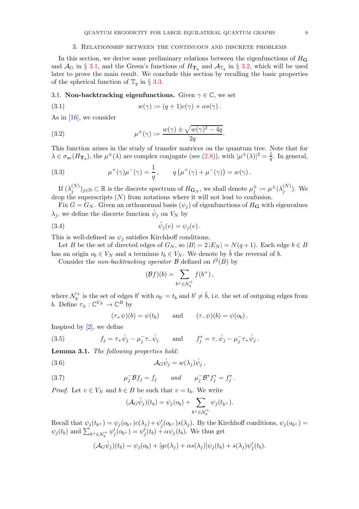#### 3. Relationship between the continuous and discrete problems

<span id="page-8-0"></span>In this section, we derive some preliminary relations between the eigenfunctions of  $H_G$ and  $\mathcal{A}_G$  in § [3.1,](#page-8-1) and the Green's functions of  $H_{\mathbf{T}_q}$  and  $\mathcal{A}_{\mathbb{T}_q}$  in § [3.2,](#page-9-1) which will be used later to prove the main result. We conclude this section by recalling the basic properties of the spherical function of  $\mathbb{T}_q$  in § [3.3.](#page-10-1)

### <span id="page-8-1"></span>3.1. Non-backtracking eigenfunctions. Given  $\gamma \in \mathbb{C}$ , we set

<span id="page-8-2"></span>(3.1) 
$$
w(\gamma) := (q+1)c(\gamma) + \alpha s(\gamma).
$$

As in  $[16]$ , we consider

(3.2) 
$$
\mu^{\pm}(\gamma) := \frac{w(\gamma) \pm \sqrt{w(\gamma)^2 - 4q}}{2q}
$$

This function arises in the study of transfer matrices on the quantum tree. Note that for  $\lambda \in \sigma_{ac}(H_{\mathbf{T}_q})$ , the  $\mu^{\pm}(\lambda)$  are complex conjugate (see [\(2.8\)](#page-3-2)), with  $|\mu^{\pm}(\lambda)|^2 = \frac{1}{q}$  $\frac{1}{q}$ . In general,

.

<span id="page-8-4"></span>(3.3) 
$$
\mu^+(\gamma)\mu^-(\gamma) = \frac{1}{q}, \qquad q(\mu^+(\gamma) + \mu^-(\gamma)) = w(\gamma).
$$

If  $(\lambda_i^{(N)}$  $j^{(N)})_{j\in\mathbb{N}}\subset\mathbb{R}$  is the discrete spectrum of  $H_{\mathbf{G}_N}$ , we shall denote  $\mu_j^{\pm}:=\mu^{\pm}(\lambda_j^{(N)})$  $j^{(IV)}$ ). We drop the superscripts  $(N)$  from notations where it will not lead to confusion.

Fix  $G = G_N$ . Given an orthonormal basis  $(\psi_i)$  of eigenfunctions of  $H_G$  with eigenvalues  $\lambda_j$ , we define the discrete function  $\psi_j$  on  $V_N$  by

$$
\mathring{\psi}_j(v) = \psi_j(v).
$$

This is well-defined as  $\psi_j$  satisfies Kirchhoff conditions.

Let B be the set of directed edges of  $G_N$ , so  $|B| = 2 |E_N| = N(q+1)$ . Each edge  $b \in B$ has an origin  $o_b \in V_N$  and a terminus  $t_b \in V_N$ . We denote by  $\hat{b}$  the reversal of b.

Consider the *non-backtracking operator*  $\mathcal{B}$  defined on  $\ell^2(B)$  by

<span id="page-8-5"></span>
$$
(\mathcal{B}f)(b) = \sum_{b^+ \in \mathcal{N}_b^+} f(b^+),
$$

where  $\mathcal{N}_b^+$ <sup> $\tilde{b}^+$ </sup> is the set of edges b' with  $o_{b'} = t_b$  and  $b' \neq \hat{b}$ , i.e. the set of outgoing edges from b. Define  $\tau_{\pm}: \mathbb{C}^{V_N} \to \mathbb{C}^B$  by

<span id="page-8-6"></span>
$$
(\tau_{+}\psi)(b) = \psi(t_{b}) \quad \text{and} \quad (\tau_{-}\psi)(b) = \psi(o_{b}).
$$

Inspired by [\[2\]](#page-24-1), we define

(3.5) 
$$
f_j = \tau_+ \dot{\psi}_j - \mu_j^- \tau_- \dot{\psi}_j
$$
 and  $f_j^* = \tau_- \dot{\psi}_j - \mu_j^- \tau_+ \dot{\psi}_j$ .

<span id="page-8-8"></span>Lemma 3.1. The following properties hold:

(3.6) 
$$
\mathcal{A}_G \mathring{\psi}_j = w(\lambda_j) \mathring{\psi}_j ,
$$

(3.7) 
$$
\mu_j^- \mathcal{B} f_j = f_j \quad \text{and} \quad \mu_j^- \mathcal{B}^* f_j^* = f_j^*.
$$

*Proof.* Let  $v \in V_N$  and  $b \in B$  be such that  $v = t_b$ . We write

<span id="page-8-7"></span><span id="page-8-3"></span>
$$
(\mathcal{A}_G\mathring{\psi}_j)(t_b) = \psi_j(o_b) + \sum_{b^+\in\mathcal{N}_b^+}\psi_j(t_{b^+}).
$$

Recall that  $\psi_j(t_{b+}) = \psi_j(o_{b+})c(\lambda_j) + \psi'_j(o_{b+})s(\lambda_j)$ . By the Kirchhoff conditions,  $\psi_j(o_{b+}) =$  $\psi_j(t_b)$  and  $\sum_{b^+\in\mathcal{N}_b^+}\psi'_j(o_{b^+}) = \psi'_j(t_b) + \alpha\psi_j(t_b)$ . We thus get

$$
(\mathcal{A}_G\mathring{\psi}_j)(t_b) = \psi_j(o_b) + [qc(\lambda_j) + \alpha s(\lambda_j)]\psi_j(t_b) + s(\lambda_j)\psi'_j(t_b).
$$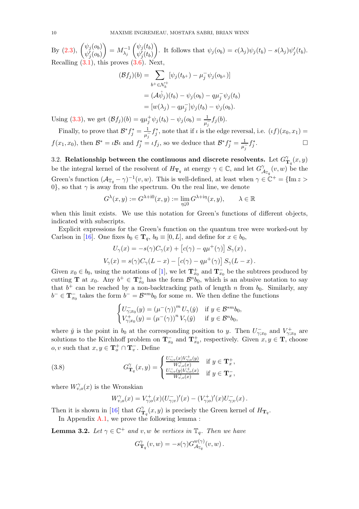By  $(2.3), \begin{pmatrix} \psi_j(o_b) \\ \psi'(o_c) \end{pmatrix}$  $\psi_j'(o_b)$  $= M_{\lambda_j}^{-1}$  $\int \psi_j(t_b)$  $\psi_j'(t_b)$  $\setminus$ . It follows that  $\psi_j(o_b) = c(\lambda_j)\psi_j(t_b) - s(\lambda_j)\psi'_j(t_b)$ . Recalling  $(3.1)$ , this proves  $(3.6)$ . Next,

$$
(\mathcal{B}f_j)(b) = \sum_{b^+ \in \mathcal{N}_b^+} [\psi_j(t_{b^+}) - \mu_j^- \psi_j(o_{b^+})]
$$
  
=  $(A\mathring{\psi}_j)(t_b) - \psi_j(o_b) - q\mu_j^- \psi_j(t_b)$   
=  $[w(\lambda_j) - q\mu_j^-] \psi_j(t_b) - \psi_j(o_b).$ 

Using [\(3.3\)](#page-8-4), we get  $(\mathcal{B}f_j)(b) = q\mu_j^+ \psi_j(t_b) - \psi_j(o_b) = \frac{1}{\mu_j^-} f_j(b)$ .

Finally, to prove that  $\mathcal{B}^* f_j^* = \frac{1}{\mu_j^2}$  $\frac{1}{\mu_j^-} f_j^*$ , note that if  $\iota$  is the edge reversal, i.e.  $(\iota f)(x_0, x_1) =$  $f(x_1, x_0)$ , then  $\mathcal{B}^* = \iota \mathcal{B} \iota$  and  $f_j^* = \iota f_j$ , so we deduce that  $\mathcal{B}^* f_j^* = \frac{1}{\mu_i^*}$  $\frac{1}{\mu_j^-} f_j^*$ . — Первый профессиональный профессиональный софийский профессиональный софийский софийский софийский софийски<br>В софийский софийский софийский софийский софийский софийский софийский софийский софийский софийский софийски

<span id="page-9-1"></span>3.2. Relationship between the continuous and discrete resolvents. Let  $G_{\mathbf{T}_q}^{\gamma}(x,y)$ be the integral kernel of the resolvent of  $H_{\mathbf{T}_q}$  at energy  $\gamma \in \mathbb{C}$ , and let  $G_{\mathcal{A}}^{\gamma}$  $\mathcal{A}_{\mathbb{T}_q}(v,w)$  be the Green's function  $(\mathcal{A}_{\mathbb{T}_q} - \gamma)^{-1}(v, w)$ . This is well-defined, at least when  $\gamma \in \mathbb{C}^+ = \{\text{Im } z >$ 0, so that  $\gamma$  is away from the spectrum. On the real line, we denote

$$
G^{\lambda}(x, y) := G^{\lambda + i0}(x, y) := \lim_{\eta \downarrow 0} G^{\lambda + i\eta}(x, y), \qquad \lambda \in \mathbb{R}
$$

when this limit exists. We use this notation for Green's functions of different objects, indicated with subscripts.

Explicit expressions for the Green's function on the quantum tree were worked-out by Carlson in [\[16\]](#page-25-14). One fixes  $b_0 \in \mathbf{T}_q$ ,  $b_0 \equiv [0, L]$ , and define for  $x \in b_0$ ,

$$
U_{\gamma}(x) = -s(\gamma)C_{\gamma}(x) + [c(\gamma) - q\mu^{+}(\gamma)] S_{\gamma}(x),
$$
  

$$
V_{\gamma}(x) = s(\gamma)C_{\gamma}(L - x) - [c(\gamma) - q\mu^{+}(\gamma)] S_{\gamma}(L - x).
$$

Given  $x_0 \in b_0$ , using the notations of [\[1\]](#page-24-5), we let  $\mathbf{T}_{x_0}^+$  and  $\mathbf{T}_{x_0}^-$  be the subtrees produced by cutting **T** at  $x_0$ . Any  $b^+ \in \mathbf{T}^+_{x_0}$  has the form  $\mathcal{B}^n b_0$ , which is an abusive notation to say that  $b^+$  can be reached by a non-backtracking path of length n from  $b_0$ . Similarly, any  $b^-$  ∈  $\mathbf{T}_{x_0}^-$  takes the form  $b^- = \mathcal{B}^{*m} b_0$  for some m. We then define the functions

$$
\begin{cases} U^-_{\gamma;x_0}(y) = \left(\mu^-(\gamma)\right)^m U_\gamma(\check y) & \text{if } y \in \mathcal{B}^{*m}b_0, \\ V^+_{\gamma;x_0}(y) = \left(\mu^-(\gamma)\right)^n V_\gamma(\check y) & \text{if } y \in \mathcal{B}^nb_0, \end{cases}
$$

where  $\check{y}$  is the point in  $b_0$  at the corresponding position to y. Then  $U_{\gamma;x_0}^-$  and  $V_{\gamma;x_0}^+$  are solutions to the Kirchhoff problem on  $\mathbf{T}_{x_0}^-$  and  $\mathbf{T}_{x_0}^+$ , respectively. Given  $x, y \in \mathbf{T}$ , choose *o*, *v* such that  $x, y \in \mathbf{T}_o^+ \cap \mathbf{T}_v^-$ . Define

(3.8) 
$$
G_{\mathbf{T}_q}^{\gamma}(x,y) = \begin{cases} \frac{U_{\gamma;v}^{-}(x)V_{\gamma;o}^{+}(y)}{W_{v,o}^{\gamma}(x)} & \text{if } y \in \mathbf{T}_x^+, \\ \frac{U_{\gamma;v}^{-}(y)V_{\gamma;o}^{+}(x)}{W_{v,o}^{\gamma}(x)} & \text{if } y \in \mathbf{T}_x^-, \end{cases}
$$

where  $W_{v,o}^{\gamma}(x)$  is the Wronskian

<span id="page-9-0"></span>
$$
W_{v,o}^{\gamma}(x) = V_{\gamma,o}^+(x) (U_{\gamma,v}^-)'(x) - (V_{\gamma,o}^+)'(x) U_{\gamma,v}^-(x) .
$$

Then it is shown in [\[16\]](#page-25-14) that  $G_{\mathbf{T}_q}^{\gamma}(x, y)$  is precisely the Green kernel of  $H_{\mathbf{T}_q}$ . In Appendix [A.1,](#page-22-1) we prove the following lemma :

<span id="page-9-2"></span>**Lemma 3.2.** Let  $\gamma \in \mathbb{C}^+$  and v, w be vertices in  $\mathbb{T}_q$ . Then we have

$$
G^{\gamma}_{\mathbf{T}_q}(v,w)=-s(\gamma)G_{\mathcal{A}_{\mathbb{T}_q}}^{w(\gamma)}(v,w)\,.
$$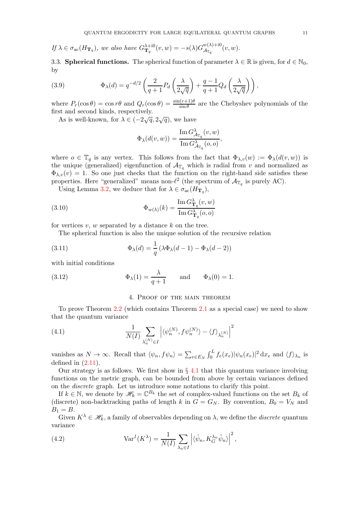If 
$$
\lambda \in \sigma_{ac}(H_{\mathbf{T}_q})
$$
, we also have  $G_{\mathbf{T}_q}^{\lambda + i0}(v, w) = -s(\lambda)G_{\mathcal{A}_{\mathbb{T}_q}}^{w(\lambda) + i0}(v, w)$ .

<span id="page-10-1"></span>3.3. **Spherical functions.** The spherical function of parameter  $\lambda \in \mathbb{R}$  is given, for  $d \in \mathbb{N}_0$ , by

<span id="page-10-3"></span>(3.9) 
$$
\Phi_{\lambda}(d) = q^{-d/2} \left( \frac{2}{q+1} P_d \left( \frac{\lambda}{2\sqrt{q}} \right) + \frac{q-1}{q+1} Q_d \left( \frac{\lambda}{2\sqrt{q}} \right) \right),
$$

where  $P_r(\cos \theta) = \cos r\theta$  and  $Q_r(\cos \theta) = \frac{\sin(r+1)\theta}{\sin \theta}$  are the Chebyshev polynomials of the first and second kinds, respectively.

As is well-known, for  $\lambda \in (-2\sqrt{q}, 2\sqrt{q})$ , we have

<span id="page-10-6"></span>
$$
\Phi_{\lambda}(d(v, w)) = \frac{\operatorname{Im} G_{\mathcal{A}_{\mathbb{T}_q}}^{\lambda}(v, w)}{\operatorname{Im} G_{\mathcal{A}_{\mathbb{T}_q}}^{\lambda}(o, o)},
$$

where  $o \in \mathbb{T}_q$  is any vertex. This follows from the fact that  $\Phi_{\lambda,v}(w) := \Phi_{\lambda}(d(v,w))$  is the unique (generalized) eigenfunction of  $\mathcal{A}_{\mathbb{T}_q}$  which is radial from v and normalized as  $\Phi_{\lambda,v}(v) = 1$ . So one just checks that the function on the right-hand side satisfies these properties. Here "generalized" means non- $\ell^2$  (the spectrum of  $\mathcal{A}_{\mathbb{T}_q}$  is purely AC).

Using Lemma [3.2,](#page-9-2) we deduce that for  $\lambda \in \sigma_{ac}(H_{\mathbf{T}_q})$ ,

(3.10) 
$$
\Phi_{w(\lambda)}(k) = \frac{\operatorname{Im} G^{\lambda}_{\mathbf{T}_q}(v, w)}{\operatorname{Im} G^{\lambda}_{\mathbf{T}_q}(o, o)}
$$

for vertices  $v, w$  separated by a distance  $k$  on the tree.

The spherical function is also the unique solution of the recursive relation

(3.11) 
$$
\Phi_{\lambda}(d) = \frac{1}{q} (\lambda \Phi_{\lambda}(d-1) - \Phi_{\lambda}(d-2))
$$

with initial conditions

(3.12) 
$$
\Phi_{\lambda}(1) = \frac{\lambda}{q+1} \quad \text{and} \quad \Phi_{\lambda}(0) = 1.
$$

### <span id="page-10-5"></span><span id="page-10-4"></span>4. Proof of the main theorem

<span id="page-10-0"></span>To prove Theorem [2.2](#page-4-1) (which contains Theorem [2.1](#page-4-0) as a special case) we need to show that the quantum variance

(4.1) 
$$
\frac{1}{N(I)}\sum_{\lambda_n^{(N)}\in I} \left| \langle \psi_n^{(N)}, f\psi_n^{(N)} \rangle - \langle f \rangle_{\lambda_n^{(N)}} \right|^2
$$

vanishes as  $N \to \infty$ . Recall that  $\langle \psi_n, f \psi_n \rangle = \sum_{e \in E_N} \int_0^L f_e(x_e) |\psi_n(x_e)|^2 dx_e$  and  $\langle f \rangle_{\lambda_n}$  is defined in  $(2.11)$ .

Our strategy is as follows. We first show in  $\S 4.1$  $\S 4.1$  that this quantum variance involving functions on the metric graph, can be bounded from above by certain variances defined on the discrete graph. Let us introduce some notations to clarify this point.

If  $k \in \mathbb{N}$ , we denote by  $\mathscr{H}_k = \mathbb{C}^{B_k}$  the set of complex-valued functions on the set  $B_k$  of (discrete) non-backtracking paths of length k in  $G = G_N$ . By convention,  $B_0 = V_N$  and  $B_1 = B.$ 

Given  $K^{\lambda} \in \mathcal{H}_k$ , a family of observables depending on  $\lambda$ , we define the *discrete* quantum variance

<span id="page-10-2"></span>(4.2) 
$$
\text{Var}^I(K^{\lambda}) = \frac{1}{N(I)} \sum_{\lambda_n \in I} \left| \langle \psi_n, K_G^{\lambda_n} \psi_n \rangle \right|^2,
$$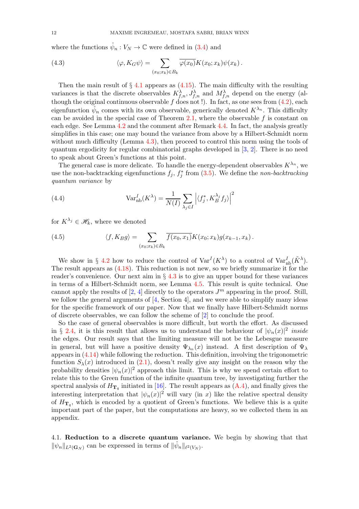where the functions  $\psi_n : V_N \to \mathbb{C}$  were defined in [\(3.4\)](#page-8-5) and

<span id="page-11-1"></span>(4.3) 
$$
\langle \varphi, K_G \psi \rangle = \sum_{(x_0; x_k) \in B_k} \overline{\varphi(x_0)} K(x_0; x_k) \psi(x_k).
$$

Then the main result of  $\S 4.1$  $\S 4.1$  appears as  $(4.15)$ . The main difficulty with the resulting variances is that the discrete observables  $K_{f,n}^{\lambda}, J_{f,n}^{\lambda}$  and  $M_{f,n}^{\lambda}$  depend on the energy (although the original continuous observable f does not !). In fact, as one sees from  $(4.2)$ , each eigenfunction  $\psi_n$  comes with its own observable, generically denoted  $K^{\lambda_n}$ . This difficulty can be avoided in the special case of Theorem [2.1,](#page-4-0) where the observable  $f$  is constant on each edge. See Lemma [4.2](#page-12-1) and the comment after Remark [4.4.](#page-16-0) In fact, the analysis greatly simplifies in this case; one may bound the variance from above by a Hilbert-Schmidt norm without much difficulty (Lemma [4.3\)](#page-15-0), then proceed to control this norm using the tools of quantum ergodicity for regular combinatorial graphs developed in  $[3, 2]$  $[3, 2]$ . There is no need to speak about Green's functions at this point.

The general case is more delicate. To handle the energy-dependent observables  $K^{\lambda_n}$ , we use the non-backtracking eigenfunctions  $f_j$ ,  $f_j^*$  from [\(3.5\)](#page-8-6). We define the *non-backtracking* quantum variance by

(4.4) 
$$
\text{Var}_{\text{nb}}^{I}(K^{\lambda}) = \frac{1}{N(I)} \sum_{\lambda_{j} \in I} \left| \langle f_{j}^{*}, K_{B}^{\lambda_{j}} f_{j} \rangle \right|^{2}
$$

for  $K^{\lambda_j} \in \mathscr{H}_k$ , where we denoted

<span id="page-11-2"></span>(4.5) 
$$
\langle f, K_B g \rangle = \sum_{(x_0; x_k) \in B_k} \overline{f(x_0, x_1)} K(x_0; x_k) g(x_{k-1}, x_k).
$$

We show in § [4.2](#page-14-1) how to reduce the control of  $\text{Var}^I(K^{\lambda})$  to a control of  $\text{Var}^I_{\text{nb}}(\tilde{K}^{\lambda})$ . The result appears as [\(4.18\)](#page-15-1). This reduction is not new, so we briefly summarize it for the reader's convenience. Our next aim in  $\S 4.3$  $\S 4.3$  is to give an upper bound for these variances in terms of a Hilbert-Schmidt norm, see Lemma [4.5.](#page-16-1) This result is quite technical. One cannot apply the results of [\[2,](#page-24-1) [4\]](#page-24-2) directly to the operators  $J<sup>m</sup>$  appearing in the proof. Still, we follow the general arguments of  $[4, Section 4]$ , and we were able to simplify many ideas for the specific framework of our paper. Now that we finally have Hilbert-Schmidt norms of discrete observables, we can follow the scheme of [\[2\]](#page-24-1) to conclude the proof.

So the case of general observables is more difficult, but worth the effort. As discussed in § [2.4,](#page-6-0) it is this result that allows us to understand the behaviour of  $|\psi_n(x)|^2$  *inside* the edges. Our result says that the limiting measure will not be the Lebesgue measure in general, but will have a positive density  $\Psi_{\lambda_n}(x)$  instead. A first description of  $\Psi_{\lambda}$ appears in [\(4.14\)](#page-14-2) while following the reduction. This definition, involving the trigonometric function  $S_\lambda(x)$  introduced in [\(2.1\)](#page-2-0), doesn't really give any insight on the reason why the probability densities  $|\psi_n(x)|^2$  approach this limit. This is why we spend certain effort to relate this to the Green function of the infinite quantum tree, by investigating further the spectral analysis of  $H_{\mathbf{T}_q}$  initiated in [\[16\]](#page-25-14). The result appears as  $(A.4)$ , and finally gives the interesting interpretation that  $|\psi_n(x)|^2$  will vary (in x) like the relative spectral density of  $H_{\mathbf{T}_q}$ , which is encoded by a quotient of Green's functions. We believe this is a quite important part of the paper, but the computations are heavy, so we collected them in an appendix.

<span id="page-11-0"></span>4.1. Reduction to a discrete quantum variance. We begin by showing that that  $\|\psi_n\|_{L^2(\mathbf{G}_N)}$  can be expressed in terms of  $\|\psi_n\|_{\ell^2(V_N)}$ .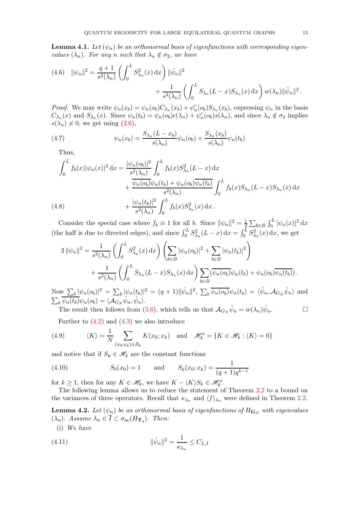**Lemma 4.1.** Let  $(\psi_n)$  be an orthonormal basis of eigenfunctions with corresponding eigenvalues  $(\lambda_n)$ . For any n such that  $\lambda_n \notin \sigma_2$ , we have

<span id="page-12-2"></span>(4.6) 
$$
\|\psi_n\|^2 = \frac{q+1}{s^2(\lambda_n)} \left( \int_0^L S_{\lambda_n}^2(x) dx \right) \|\dot{\psi}_n\|^2 + \frac{1}{s^2(\lambda_n)} \left( \int_0^L S_{\lambda_n}(L-x) S_{\lambda_n}(x) dx \right) w(\lambda_n) \|\dot{\psi}_n\|^2.
$$

*Proof.* We may write  $\psi_n(x_b) = \psi_n(o_b)C_{\lambda_n}(x_b) + \psi'_n(o_b)S_{\lambda_n}(x_b)$ , expressing  $\psi_n$  in the basis  $C_{\lambda_n}(x)$  and  $S_{\lambda_n}(x)$ . Since  $\psi_n(t_b) = \psi_n(o_b)c(\lambda_n) + \psi'_n(o_b)s(\lambda_n)$ , and since  $\lambda_n \notin \sigma_2$  implies  $s(\lambda_n) \neq 0$ , we get using  $(2.6)$ ,

(4.7) 
$$
\psi_n(x_b) = \frac{S_{\lambda_n}(L-x_b)}{s(\lambda_n)} \psi_n(o_b) + \frac{S_{\lambda_n}(x_b)}{s(\lambda_n)} \psi_n(t_b)
$$

<span id="page-12-5"></span>Thus,

$$
\int_{0}^{L} f_{b}(x)|\psi_{n}(x)|^{2} dx = \frac{|\psi_{n}(o_{b})|^{2}}{s^{2}(\lambda_{n})} \int_{0}^{L} f_{b}(x)S_{\lambda_{n}}^{2}(L-x) dx \n+ \frac{\overline{\psi_{n}(o_{b})}\psi_{n}(t_{b}) + \psi_{n}(o_{b})\overline{\psi_{n}(t_{b})}}{s^{2}(\lambda_{n})} \int_{0}^{L} f_{b}(x)S_{\lambda_{n}}(L-x)S_{\lambda_{n}}(x) dx \n+ \frac{|\psi_{n}(t_{b})|^{2}}{s^{2}(\lambda_{n})} \int_{0}^{L} f_{b}(x)S_{\lambda_{n}}^{2}(x) dx.
$$
\n(4.8)

<span id="page-12-3"></span>Consider the special case where  $f_b \equiv 1$  for all b. Since  $\|\psi_n\|^2 = \frac{1}{2}$  $\frac{1}{2} \sum_{b \in B} \int_0^L |\psi_n(x)|^2 \, \mathrm{d}x$ (the half is due to directed edges), and since  $\int_0^L S_{\lambda_n}^2(L-x) dx = \int_0^L S_{\lambda_n}^2(x) dx$ , we get

$$
2 \|\psi_n\|^2 = \frac{1}{s^2(\lambda_n)} \left( \int_0^L S_{\lambda_n}^2(x) dx \right) \left( \sum_{b \in B} |\psi_n(o_b)|^2 + \sum_{b \in B} |\psi_n(t_b)|^2 \right) + \frac{1}{s^2(\lambda_n)} \left( \int_0^L S_{\lambda_n}(L-x) S_{\lambda_n}(x) dx \right) \sum_{b \in B} (\overline{\psi_n(o_b)} \psi_n(t_b) + \psi_n(o_b) \overline{\psi_n(t_b)})
$$

Now  $\sum_b |\psi_n(o_b)|^2 = \sum_b |\psi_n(t_b)|^2 = (q+1) ||\mathring{\psi}_n||^2$ ,  $\sum_b \overline{\psi_n(o_b)} \psi_n(t_b) = \langle \mathring{\psi}_n, \mathcal{A}_{G_N} \mathring{\psi}_n \rangle$  and  $\sum_b \overline{\psi_n(t_b)} \psi_n(o_b) = \langle \mathcal{A}_{G_N} \psi_n, \psi_n \rangle.$ 

The result then follows from [\(3.6\)](#page-8-3), which tells us that  $\mathcal{A}_{G_N}\mathring{\psi}_n = w(\lambda_n)\mathring{\psi}_n$ .

<span id="page-12-6"></span>Further to  $(4.2)$  and  $(4.3)$  we also introduce

(4.9) 
$$
\langle K \rangle = \frac{1}{N} \sum_{(x_0; x_k) \in B_k} K(x_0; x_k) \text{ and } \mathscr{H}_k^o = \{ K \in \mathcal{H}_k : \langle K \rangle = 0 \}
$$

and notice that if  $S_k \in \mathcal{H}_k$  are the constant functions

<span id="page-12-4"></span>(4.10) 
$$
S_0(x_0) = 1 \quad \text{and} \quad S_k(x_0; x_k) = \frac{1}{(q+1)q^{k-1}}
$$

for  $k \geq 1$ , then for any  $K \in \mathcal{H}_k$ , we have  $K - \langle K \rangle S_k \in \mathcal{H}_k^o$ .

The following lemma allows us to reduce the statement of Theorem [2.2](#page-4-1) to a bound on the variances of three operators. Recall that  $\kappa_{\lambda_n}$  and  $\langle f \rangle_{\lambda_n}$  were defined in Theorem [2.2.](#page-4-1)

<span id="page-12-1"></span>**Lemma 4.2.** Let  $(\psi_n)$  be an orthonormal basis of eigenfunctions of  $H_{\mathbf{G}_N}$  with eigenvalues  $(\lambda_n)$ . Assume  $\lambda_n \in I \subset \sigma_{\rm ac}(H_{\bf T_q})$ . Then:

<span id="page-12-0"></span>(i) We have

(4.11) 
$$
\|\psi_n\|^2 = \frac{1}{\kappa_{\lambda_n}} \le C_{L,I}
$$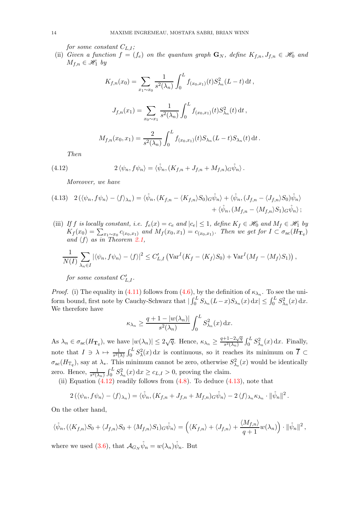for some constant  $C_{L,I}$ ;

(ii) Given a function  $f = (f_e)$  on the quantum graph  $\mathbf{G}_N$ , define  $K_{f,n}, J_{f,n} \in \mathcal{H}_0$  and  $M_{f,n} \in \mathcal{H}_1$  by

$$
K_{f,n}(x_0) = \sum_{x_1 \sim x_0} \frac{1}{s^2(\lambda_n)} \int_0^L f_{(x_0, x_1)}(t) S_{\lambda_n}^2(L - t) dt,
$$
  

$$
J_{f,n}(x_1) = \sum_{x_0 \sim x_1} \frac{1}{s^2(\lambda_n)} \int_0^L f_{(x_0, x_1)}(t) S_{\lambda_n}^2(t) dt,
$$
  

$$
M_{f,n}(x_0, x_1) = \frac{2}{s^2(\lambda_n)} \int_0^L f_{(x_0, x_1)}(t) S_{\lambda_n}(L - t) S_{\lambda_n}(t) dt.
$$

<span id="page-13-0"></span>Then

(4.12) 
$$
2 \langle \psi_n, f \psi_n \rangle = \langle \mathring{\psi}_n, (K_{f,n} + J_{f,n} + M_{f,n})_G \mathring{\psi}_n \rangle.
$$

Moreover, we have

<span id="page-13-1"></span>
$$
(4.13) \quad 2(\langle \psi_n, f\psi_n \rangle - \langle f \rangle_{\lambda_n}) = \langle \mathring{\psi}_n, (K_{f,n} - \langle K_{f,n} \rangle S_0) \mathring{\alpha} \mathring{\psi}_n \rangle + \langle \mathring{\psi}_n, (J_{f,n} - \langle J_{f,n} \rangle S_0) \mathring{\psi}_n \rangle + \langle \mathring{\psi}_n, (M_{f,n} - \langle M_{f,n} \rangle S_1) \mathring{\alpha} \mathring{\psi}_n \rangle ;
$$

(iii) If f is locally constant, i.e.  $f_e(x) = c_e$  and  $|c_e| \leq 1$ , define  $K_f \in \mathcal{H}_0$  and  $M_f \in \mathcal{H}_1$  by  $K_f(x_0) = \sum_{x_1 \sim x_0} c_{(x_0,x_1)}$  and  $M_f(x_0,x_1) = c_{(x_0,x_1)}$ . Then we get for  $I \subset \sigma_{ac}(H_{\mathbf{T}_q})$ and  $\langle f \rangle$  as in Theorem [2.1,](#page-4-0)

$$
\frac{1}{N(I)}\sum_{\lambda_n\in I} |\langle \psi_n, f\psi_n\rangle - \langle f\rangle|^2 \le C'_{L,I} \left( \text{Var}^I(K_f - \langle K_f\rangle S_0) + \text{Var}^I(M_f - \langle M_f\rangle S_1) \right),
$$

for some constant  $C_{L,I}'$ .

*Proof.* (i) The equality in [\(4.11\)](#page-12-0) follows from [\(4.6\)](#page-12-2), by the definition of  $\kappa_{\lambda_n}$ . To see the uniform bound, first note by Cauchy-Schwarz that  $\left| \int_0^L S_{\lambda_n}(L-x)S_{\lambda_n}(x) dx \right| \leq \int_0^L S_{\lambda_n}^2(x) dx$ . We therefore have

$$
\kappa_{\lambda_n} \ge \frac{q+1-|w(\lambda_n)|}{s^2(\lambda_n)} \int_0^L S^2_{\lambda_n}(x) \, \mathrm{d}x.
$$

As  $\lambda_n \in \sigma_{ac}(H_{\mathbf{T}_q})$ , we have  $|w(\lambda_n)| \leq 2\sqrt{q}$ . Hence,  $\kappa_{\lambda_n} \geq \frac{q+1-2\sqrt{q}}{s^2(\lambda_n)}$  $\frac{1+1-2\sqrt{q}}{s^2(\lambda_n)} \int_0^L S^2_{\lambda_n}(x) dx$ . Finally, note that  $I \ni \lambda \mapsto \frac{1}{s^2(\lambda)} \int_0^L S^2_\lambda(x) dx$  is continuous, so it reaches its minimum on  $\overline{I} \subset$  $\sigma_{\rm ac}(H_{\mathbb{T}_q})$ , say at  $\lambda_*$ . This minimum cannot be zero, otherwise  $S^2_{\lambda_*}(x)$  would be identically zero. Hence,  $\frac{1}{s^2(\lambda_n)} \int_0^L S^2_{\lambda_n}(x) dx \geq c_{L,I} > 0$ , proving the claim.

(ii) Equation  $(4.12)$  readily follows from  $(4.8)$ . To deduce  $(4.13)$ , note that

$$
2(\langle \psi_n, f\psi_n \rangle - \langle f \rangle_{\lambda_n}) = \langle \mathring{\psi}_n, (K_{f,n} + J_{f,n} + M_{f,n})_G \mathring{\psi}_n \rangle - 2 \langle f \rangle_{\lambda_n} \kappa_{\lambda_n} \cdot ||\mathring{\psi}_n||^2.
$$

On the other hand,

$$
\langle \psi_n, (\langle K_{f,n} \rangle S_0 + \langle J_{f,n} \rangle S_0 + \langle M_{f,n} \rangle S_1) G \psi_n \rangle = \left( \langle K_{f,n} \rangle + \langle J_{f,n} \rangle + \frac{\langle M_{f,n} \rangle}{q+1} w(\lambda_n) \right) \cdot ||\psi_n||^2,
$$

where we used [\(3.6\)](#page-8-3), that  $\mathcal{A}_{G_N}\psi_n = w(\lambda_n)\psi_n$ . But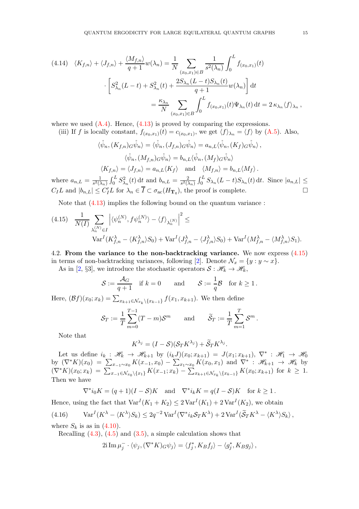<span id="page-14-2"></span>
$$
(4.14) \langle K_{f,n} \rangle + \langle J_{f,n} \rangle + \frac{\langle M_{f,n} \rangle}{q+1} w(\lambda_n) = \frac{1}{N} \sum_{(x_0, x_1) \in B} \frac{1}{s^2(\lambda_n)} \int_0^L f_{(x_0, x_1)}(t)
$$

$$
\cdot \left[ S_{\lambda_n}^2(L-t) + S_{\lambda_n}^2(t) + \frac{2S_{\lambda_n}(L-t)S_{\lambda_n}(t)}{q+1} w(\lambda_n) \right] dt
$$

$$
= \frac{\kappa_{\lambda_n}}{N} \sum_{(x_0, x_1) \in B} \int_0^L f_{(x_0, x_1)}(t) \Psi_{\lambda_n}(t) dt = 2 \kappa_{\lambda_n} \langle f \rangle_{\lambda_n},
$$

where we used  $(A.4)$ . Hence,  $(4.13)$  is proved by comparing the expressions.

(iii) If f is locally constant,  $f_{(x_0,x_1)}(t) = c_{(x_0,x_1)}$ , we get  $\langle f \rangle_{\lambda_n} = \langle f \rangle$  by [\(A.5\)](#page-24-6). Also,

$$
\langle \psi_n, (K_{f,n})_G \psi_n \rangle = \langle \psi_n, (J_{f,n})_G \psi_n \rangle = a_{n,L} \langle \psi_n, (K_f)_G \psi_n \rangle,
$$
  

$$
\langle \psi_n, (M_{f,n})_G \psi_n \rangle = b_{n,L} \langle \psi_n, (M_f)_G \psi_n \rangle
$$
  

$$
\langle K_{f,n} \rangle = \langle J_{f,n} \rangle = a_{n,L} \langle K_f \rangle \quad \text{and} \quad \langle M_{f,n} \rangle = b_{n,L} \langle M_f \rangle.
$$

where  $a_{n,L} = \frac{1}{s^2}$  $\frac{1}{s^2(\lambda_n)} \int_0^L S_{\lambda_n}^2(t) dt$  and  $b_{n,L} = \frac{2}{s^2(\lambda_n)}$  $\frac{2}{s^2(\lambda_n)} \int_0^L S_{\lambda_n}(L-t)S_{\lambda_n}(t) dt$ . Since  $|a_{n,L}| \le$  $C_I L$  and  $|b_{n,L}| \leq C_I' L$  for  $\lambda_n \in I \subset \sigma_{\text{ac}}(H_{\mathbf{T}_q})$ , the proof is complete.

Note that [\(4.13\)](#page-13-1) implies the following bound on the quantum variance :

<span id="page-14-0"></span>
$$
(4.15) \quad \frac{1}{N(I)} \sum_{\lambda_n^{(N)} \in I} \left| \langle \psi_n^{(N)}, f \psi_n^{(N)} \rangle - \langle f \rangle_{\lambda_n^{(N)}} \right|^2 \le
$$
  

$$
\text{Var}^I(K_{f,n}^{\lambda} - \langle K_{f,n}^{\lambda} \rangle S_0) + \text{Var}^I(J_{f,n}^{\lambda} - \langle J_{f,n}^{\lambda} \rangle S_0) + \text{Var}^I(M_{f,n}^{\lambda} - \langle M_{f,n}^{\lambda} \rangle S_1).
$$

<span id="page-14-1"></span>4.2. From the variance to the non-backtracking variance. We now express  $(4.15)$ in terms of non-backtracking variances, following [\[2\]](#page-24-1). Denote  $\mathcal{N}_x = \{y : y \sim x\}.$ 

As in [\[2,](#page-24-1) §3], we introduce the stochastic operators  $S : \mathcal{H}_k \to \mathcal{H}_k$ ,

$$
\mathcal{S} := \frac{\mathcal{A}_G}{q+1} \quad \text{if } k = 0 \qquad \text{and} \qquad \mathcal{S} := \frac{1}{q} \mathcal{B} \quad \text{for } k \geq 1 \,.
$$

Here,  $(\mathcal{B}f)(x_0; x_k) = \sum_{x_{k+1} \in \mathcal{N}_{x_k} \setminus \{x_{k-1}\}} f(x_1, x_{k+1})$ . We then define

$$
\mathcal{S}_T := \frac{1}{T} \sum_{m=0}^{T-1} (T-m) \mathcal{S}^m \quad \text{and} \quad \widetilde{\mathcal{S}}_T := \frac{1}{T} \sum_{m=1}^T \mathcal{S}^m.
$$

Note that

$$
K^{\lambda_j} = (I - S)(S_T K^{\lambda_j}) + \widetilde{S}_T K^{\lambda_j}.
$$

Let us define  $i_k$ :  $\mathscr{H}_k \to \mathscr{H}_{k+1}$  by  $(i_k J)(x_0; x_{k+1}) = J(x_1; x_{k+1}), \nabla^* : \mathscr{H}_1 \to \mathscr{H}_0$ by  $(\nabla^* K)(x_0) = \sum_{x_{-1} \sim x_0} K(x_{-1}, x_0) - \sum_{x_1 \sim x_0} K(x_0, x_1)$  and  $\nabla^* : \mathcal{H}_{k+1} \to \mathcal{H}_k$  by  $(\nabla^* K)(x_0; x_k) = \sum_{x_{-1} \in \mathcal{N}_{x_0} \backslash \{x_1\}} K(x_{-1}; x_k) - \sum_{x_{k+1} \in \mathcal{N}_{x_k} \backslash \{x_{k-1}\}} K(x_0; x_{k+1})$  for  $k \geq 1$ . Then we have

<span id="page-14-3"></span>
$$
\nabla^* i_0 K = (q+1)(I-\mathcal{S})K \text{ and } \nabla^* i_k K = q(I-\mathcal{S})K \text{ for } k \ge 1.
$$

Hence, using the fact that  $\text{Var}^I(K_1 + K_2) \leq 2 \text{Var}^I(K_1) + 2 \text{Var}^I(K_2)$ , we obtain (4.16)  $\text{Var}^{I}(K^{\lambda} - \langle K^{\lambda} \rangle S_{k}) \leq 2q^{-2} \text{Var}^{I}(\nabla^{*} i_{k} \mathcal{S}_{T} K^{\lambda}) + 2 \text{Var}^{I}(\widetilde{\mathcal{S}}_{T} K^{\lambda} - \langle K^{\lambda} \rangle S_{k}),$ 

where  $S_k$  is as in [\(4.10\)](#page-12-4).

Recalling  $(4.3)$ ,  $(4.5)$  and  $(3.5)$ , a simple calculation shows that

$$
2i \operatorname{Im} \mu_j^- \cdot \langle \psi_j, (\nabla^* K)_{\mathcal{G}} \psi_j \rangle = \langle f_j^*, K_B f_j \rangle - \langle g_j^*, K_B g_j \rangle,
$$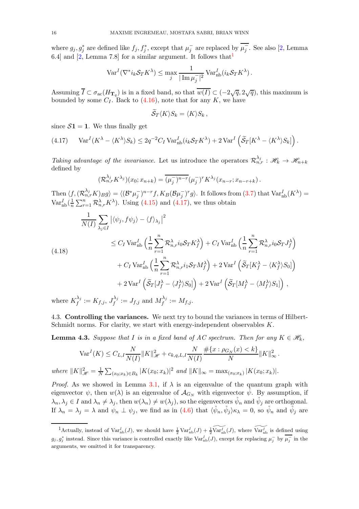where  $g_j, g_j^*$  are defined like  $f_j, f_j^*$ , except that  $\mu_j^-$  are replaced by  $\mu_j^-$ . See also [\[2,](#page-24-1) Lemma 6.4] and  $[2, \text{Lemma 7.8}]$  for a similar argument. It follows that

$$
\text{Var}^{I}(\nabla^{*}i_{k}\mathcal{S}_{T}K^{\lambda}) \leq \max_{j} \frac{1}{|\operatorname{Im}\mu_{j}^{-}|^{2}} \text{Var}_{\text{nb}}^{I}(i_{k}\mathcal{S}_{T}K^{\lambda}).
$$

Assuming  $\overline{I} \subset \sigma_{ac}(H_{\mathbf{T}_q})$  is in a fixed band, so that  $\overline{w(I)} \subset (-2\sqrt{q}, 2\sqrt{q})$ , this maximum is bounded by some  $C_I$ . Back to  $(4.16)$ , note that for any K, we have

$$
\mathcal{S}_T \langle K \rangle S_k = \langle K \rangle S_k \,,
$$

since  $S_1 = 1$ . We thus finally get

<span id="page-15-4"></span>(4.17) 
$$
\text{Var}^I(K^{\lambda} - \langle K^{\lambda} \rangle S_k) \leq 2q^{-2}C_I \text{Var}_{\text{nb}}^I(i_k S_T K^{\lambda}) + 2 \text{Var}^I \left( \widetilde{S}_T[K^{\lambda} - \langle K^{\lambda} \rangle S_k] \right).
$$

Taking advantage of the invariance. Let us introduce the operators  $\mathcal{R}_{n,r}^{\lambda_j}$  :  $\mathscr{H}_k \to \mathscr{H}_{n+k}$ defined by

$$
(\mathcal{R}_{n,r}^{\lambda_j} K^{\lambda_j})(x_0; x_{n+k}) = \overline{(\mu_j^-)^{n-r}} (\mu_j^-)^r K^{\lambda_j}(x_{n-r}; x_{n-r+k}).
$$

Then  $\langle f,(\mathcal{R}^{\lambda_j}_{n,r}K)_{\bar{B}}g \rangle = \langle (\mathcal{B}^*\mu_j^-)^{n-r}f, K_{\bar{B}}(\mathcal{B}\mu_j^-)^r g \rangle$ . It follows from  $(3.7)$  that  $\text{Var}_{\text{nb}}^I(K^{\lambda}) =$  $\text{Var}_{\text{nb}}^I(\frac{1}{n})$  $\frac{1}{n} \sum_{r=1}^{n} \mathcal{R}_{n,r}^{\lambda} K^{\lambda}$ . Using [\(4.15\)](#page-14-0) and [\(4.17\)](#page-15-4), we thus obtain

<span id="page-15-1"></span>
$$
\frac{1}{N(I)} \sum_{\lambda_j \in I} |\langle \psi_j, f\psi_j \rangle - \langle f \rangle_{\lambda_j}|^2
$$
\n
$$
\leq C_I \operatorname{Var}_{\text{nb}}^I \left( \frac{1}{n} \sum_{r=1}^n \mathcal{R}_{n,r}^{\lambda} i_0 \mathcal{S}_T K_f^{\lambda} \right) + C_I \operatorname{Var}_{\text{nb}}^I \left( \frac{1}{n} \sum_{r=1}^n \mathcal{R}_{n,r}^{\lambda} i_0 \mathcal{S}_T J_f^{\lambda} \right)
$$
\n
$$
+ C_I \operatorname{Var}_{\text{nb}}^I \left( \frac{1}{n} \sum_{r=1}^n \mathcal{R}_{n,r}^{\lambda} i_1 \mathcal{S}_T M_f^{\lambda} \right) + 2 \operatorname{Var}^I \left( \widetilde{\mathcal{S}}_T [K_f^{\lambda} - \langle K_f^{\lambda} \rangle \mathcal{S}_0] \right)
$$
\n
$$
+ 2 \operatorname{Var}^I \left( \widetilde{\mathcal{S}}_T [J_f^{\lambda} - \langle J_f^{\lambda} \rangle \mathcal{S}_0] \right) + 2 \operatorname{Var}^I \left( \widetilde{\mathcal{S}}_T [M_f^{\lambda} - \langle M_f^{\lambda} \rangle \mathcal{S}_1] \right),
$$
\nwhere  $K^{\lambda_j} := K_{\lambda}$ ,  $I^{\lambda_j} := I_{\lambda}$ , and  $M^{\lambda_j} := M_{\lambda}$ .

where  $K_f^{\lambda_j}$  $\stackrel{\lambda_j}{_f}:=K_{f,j},\,J_f^{\lambda_j}$  $J_f^{\lambda_j} := J_{f,j}$  and  $M_f^{\lambda_j}$  $f_j^{\lambda_j} := M_{f,j}.$ 

<span id="page-15-2"></span>4.3. Controlling the variances. We next try to bound the variances in terms of Hilbert-Schmidt norms. For clarity, we start with energy-independent observables K.

<span id="page-15-0"></span>**Lemma 4.3.** Suppose that I is in a fixed band of AC spectrum. Then for any  $K \in \mathcal{H}_k$ ,

$$
\operatorname{Var}^{I}(K) \leq C_{L,I} \frac{N}{N(I)} \|K\|_{\mathcal{H}}^{2} + c_{k,q,L,I} \frac{N}{N(I)} \frac{\#\{x : \rho_{G_{N}}(x) < k\}}{N} \|K\|_{\infty}^{2}.
$$
\nwhere 
$$
\|K\|_{\mathcal{H}}^{2} = \frac{1}{N} \sum_{(x_{0};x_{k}) \in B_{k}} |K(x_{0};x_{k})|^{2} \text{ and } \|K\|_{\infty} = \max_{(x_{0};x_{k})} |K(x_{0};x_{k})|.
$$

*Proof.* As we showed in Lemma [3.1,](#page-8-8) if  $\lambda$  is an eigenvalue of the quantum graph with eigenvector  $\psi$ , then  $w(\lambda)$  is an eigenvalue of  $\mathcal{A}_{G_N}$  with eigenvector  $\psi$ . By assumption, if  $\lambda_n, \lambda_j \in I$  and  $\lambda_n \neq \lambda_j$ , then  $w(\lambda_n) \neq w(\lambda_j)$ , so the eigenvectors  $\psi_n$  and  $\psi_j$  are orthogonal. If  $\lambda_n = \lambda_j = \lambda$  and  $\psi_n \perp \psi_j$ , we find as in [\(4.6\)](#page-12-2) that  $\langle \psi_n, \psi_j \rangle \kappa_\lambda = 0$ , so  $\psi_n$  and  $\psi_j$  are

<span id="page-15-3"></span><sup>&</sup>lt;sup>1</sup>Actually, instead of  $Var_{nb}^{I}(J)$ , we should have  $\frac{1}{2}Var_{nb}^{I}(J) + \frac{1}{2}\widetilde{Var}_{nb}^{I}(J)$ , where  $\widetilde{Var_{nb}^{I}}$  is defined using  $g_j, g_j^*$  instead. Since this variance is controlled exactly like Var<sup>I</sup><sub>nb</sub>(*J*), except for replacing  $\mu_j^-$  by  $\overline{\mu_j^-}$  in the arguments, we omitted it for transparency.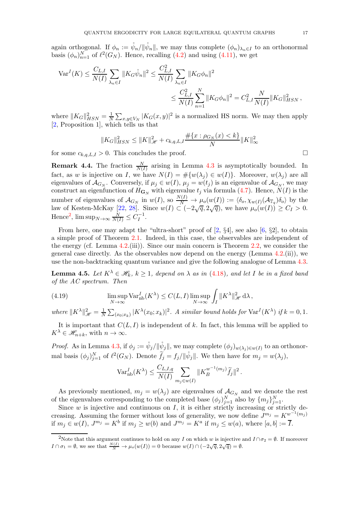again orthogonal. If  $\phi_n := \psi_n / ||\psi_n||$ , we may thus complete  $(\phi_n)_{\lambda_n \in I}$  to an orthonormal basis  $(\phi_n)_{n=1}^N$  of  $\ell^2(G_N)$ . Hence, recalling  $(4.2)$  and using  $(4.11)$ , we get

$$
\begin{split} \mathrm{Var}^I(K) &\leq \frac{C_{L,I}}{N(I)} \sum_{\lambda_n \in I} \|K_G \mathring{\psi}_n\|^2 \leq \frac{C_{L,I}^2}{N(I)} \sum_{\lambda_n \in I} \|K_G \phi_n\|^2 \\ &\leq \frac{C_{L,I}^2}{N(I)} \sum_{n=1}^N \|K_G \phi_n\|^2 = C_{L,I}^2 \frac{N}{N(I)} \|K_G\|_{HSN}^2 \,, \end{split}
$$

where  $||K_G||_{HSN}^2 = \frac{1}{N}$  $\frac{1}{N} \sum_{x,y \in V_N} |K_G(x,y)|^2$  is a normalized HS norm. We may then apply [\[2,](#page-24-1) Proposition 1], which tells us that

$$
||K_G||_{HSN}^2 \le ||K||_{\mathcal{H}}^2 + c_{k,q,L,I} \frac{\#\{x : \rho_{G_N}(x) < k\}}{N} ||K||_{\infty}^2
$$

for some  $c_{k,q,L,I} > 0$ . This concludes the proof.

<span id="page-16-0"></span>**Remark 4.4.** The fraction  $\frac{N}{N(I)}$  arising in Lemma [4.3](#page-15-0) is asymptotically bounded. In fact, as w is injective on I, we have  $N(I) = #{w(\lambda_j) \in w(I)}$ . Moreover,  $w(\lambda_j)$  are all eigenvalues of  $\mathcal{A}_{G_N}$ . Conversely, if  $\mu_j \in w(I)$ ,  $\mu_j = w(t_j)$  is an eigenvalue of  $\mathcal{A}_{G_N}$ , we may construct an eigenfunction of  $H_{\mathbf{G}_N}$  with eigenvalue  $t_j$  via formula [\(4.7\)](#page-12-5). Hence,  $N(I)$  is the number of eigenvalues of  $\mathcal{A}_{G_N}$  in  $w(I)$ , so  $\frac{N(I)}{N_I} \to \mu_o(w(I)) := \langle \delta_o, \chi_{w(I)}(\mathcal{A}_{\mathbb{T}_q}) \delta_o \rangle$  by the law of Kesten-McKay [\[22,](#page-25-21) [28\]](#page-25-22). Since  $w(I) \subset (-2\sqrt{q}, 2\sqrt{q})$ , we have  $\mu_o(w(I)) \geq C_I > 0$ . Hence<sup>[2](#page-16-2)</sup>,  $\limsup_{N \to \infty} \frac{N}{N(I)} \leq C_I^{-1}$ .

From here, one may adapt the "ultra-short" proof of  $[2, \{34\}]$ , see also  $[6, \{32\}]$ , to obtain a simple proof of Theorem [2.1.](#page-4-0) Indeed, in this case, the observables are independent of the energy (cf. Lemma [4.2.](#page-12-1)(iii)). Since our main concern is Theorem [2.2,](#page-4-1) we consider the general case directly. As the observables now depend on the energy (Lemma  $4.2$ .(ii)), we use the non-backtracking quantum variance and give the following analogue of Lemma [4.3.](#page-15-0)

<span id="page-16-1"></span>**Lemma 4.5.** Let  $K^{\lambda} \in \mathcal{H}_k$ ,  $k \geq 1$ , depend on  $\lambda$  as in [\(4.18\)](#page-15-1), and let I be in a fixed band of the AC spectrum. Then

(4.19) 
$$
\limsup_{N \to \infty} \text{Var}_{\text{nb}}^I(K^{\lambda}) \leq C(L, I) \limsup_{N \to \infty} \int_I ||K^{\lambda}||^2_{\mathscr{H}} d\lambda,
$$

where  $||K^{\lambda}||_{\mathscr{H}}^2 = \frac{1}{N}$  $\frac{1}{N}\sum_{(x_0; x_k)} |K^{\lambda}(x_0; x_k)|^2$ . A similar bound holds for  $\text{Var}^I(K^{\lambda})$  if  $k = 0, 1$ .

It is important that  $C(L, I)$  is independent of k. In fact, this lemma will be applied to  $K^{\lambda} \in \mathscr{H}_{n+k}$ , with  $n \to \infty$ .

*Proof.* As in Lemma [4.3,](#page-15-0) if  $\phi_j := \mathring{\psi}_j / ||\mathring{\psi}_j||$ , we may complete  $(\phi_j)_{w(\lambda_j) \in w(I)}$  to an orthonormal basis  $(\phi_j)_{j=1}^N$  of  $\ell^2(G_N)$ . Denote  $\tilde{f}_j = f_j / ||\dot{\psi}_j||$ . We then have for  $m_j = w(\lambda_j)$ ,

$$
\text{Var}_{\text{nb}}^I(K^\lambda) \le \frac{C_{L,I,q}}{N(I)} \sum_{m_j \in w(I)} \|K_B^{w^{-1}(m_j)}\widetilde{f}_j\|^2.
$$

As previously mentioned,  $m_j = w(\lambda_j)$  are eigenvalues of  $\mathcal{A}_{G_N}$  and we denote the rest of the eigenvalues corresponding to the completed base  $(\phi_j)_{j=1}^N$  also by  $\{m_j\}_{j=1}^N$ .

Since  $w$  is injective and continuous on  $I$ , it is either strictly increasing or strictly decreasing. Assuming the former without loss of generality, we now define  $J^{m_j} = K^{w^{-1}(m_j)}$ if  $m_j \in w(I)$ ,  $J^{m_j} = K^b$  if  $m_j \ge w(b)$  and  $J^{m_j} = K^a$  if  $m_j \le w(a)$ , where  $[a, b] := \overline{I}$ .

<span id="page-16-2"></span><sup>&</sup>lt;sup>2</sup>Note that this argument continues to hold on any I on which w is injective and  $I \cap \sigma_2 = \emptyset$ . If moreover  $I \cap \sigma_1 = \emptyset$ , we see that  $\frac{N(I)}{N} \to \mu_o(w(I)) = 0$  because  $w(I) \cap (-2\sqrt{q}, 2\sqrt{q}) = \emptyset$ .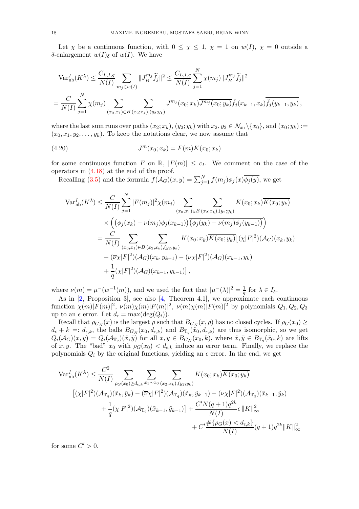Let  $\chi$  be a continuous function, with  $0 \leq \chi \leq 1$ ,  $\chi = 1$  on  $w(I)$ ,  $\chi = 0$  outside a δ-enlargement  $w(I)$ δ of  $w(I)$ . We have

$$
\operatorname{Var}_{\text{nb}}^{I}(K^{\lambda}) \leq \frac{C_{L,I,q}}{N(I)} \sum_{m_{j} \in w(I)} ||J_{B}^{m_{j}} \tilde{f}_{j}||^{2} \leq \frac{C_{L,I,q}}{N(I)} \sum_{j=1}^{N} \chi(m_{j}) ||J_{B}^{m_{j}} \tilde{f}_{j}||^{2}
$$
  
= 
$$
\frac{C}{N(I)} \sum_{j=1}^{N} \chi(m_{j}) \sum_{(x_{0},x_{1}) \in B} \sum_{(x_{2};x_{k}), (y_{2};y_{k})} J^{m_{j}}(x_{0};x_{k}) \overline{J^{m_{j}}(x_{0};y_{k})} \tilde{f}_{j}(x_{k-1},x_{k}) \overline{\tilde{f}_{j}(y_{k-1},y_{k})},
$$

where the last sum runs over paths  $(x_2; x_k)$ ,  $(y_2; y_k)$  with  $x_2, y_2 \in \mathcal{N}_{x_1} \setminus \{x_0\}$ , and  $(x_0; y_k) :=$  $(x_0, x_1, y_2, \ldots, y_k)$ . To keep the notations clear, we now assume that

(4.20) 
$$
J^{m}(x_{0}; x_{k}) = F(m)K(x_{0}; x_{k})
$$

for some continuous function F on R,  $|F(m)| \leq c_I$ . We comment on the case of the operators in [\(4.18\)](#page-15-1) at the end of the proof.

<span id="page-17-0"></span>Recalling [\(3.5\)](#page-8-6) and the formula  $f(\mathcal{A}_G)(x, y) = \sum_{j=1}^N f(m_j) \phi_j(x) \overline{\phi_j(y)}$ , we get

$$
\operatorname{Var}_{\text{nb}}^{I}(K^{\lambda}) \leq \frac{C}{N(I)} \sum_{j=1}^{N} |F(m_{j})|^{2} \chi(m_{j}) \sum_{(x_{0},x_{1}) \in B} \sum_{(x_{2};x_{k}), (y_{2};y_{k})} K(x_{0};x_{k}) K(x_{0};y_{k})
$$
  

$$
\times \left( \left( \phi_{j}(x_{k}) - \nu(m_{j}) \phi_{j}(x_{k-1}) \right) \overline{\left( \phi_{j}(y_{k}) - \nu(m_{j}) \phi_{j}(y_{k-1}) \right)} \right)
$$
  

$$
= \frac{C}{N(I)} \sum_{(x_{0},x_{1}) \in B} \sum_{(x_{2};x_{k}), (y_{2};y_{k})} K(x_{0};x_{k}) \overline{K(x_{0};y_{k})} \left[ (\chi |F|^{2}) (\mathcal{A}_{G}) (x_{k}, y_{k}) - (\overline{\nu} \chi |F|^{2}) (\mathcal{A}_{G}) (x_{k}, y_{k-1}) - (\nu \chi |F|^{2}) (\mathcal{A}_{G}) (x_{k-1}, y_{k}) + \frac{1}{q} (\chi |F|^{2}) (\mathcal{A}_{G}) (x_{k-1}, y_{k-1}) \right],
$$

where  $\nu(m) = \mu^-(w^{-1}(m))$ , and we used the fact that  $|\mu^-(\lambda)|^2 = \frac{1}{q}$  $\frac{1}{q}$  for  $\lambda \in I_{\delta}$ .

As in [\[2,](#page-24-1) Proposition 3], see also [\[4,](#page-24-2) Theorem 4.1], we approximate each continuous function  $\chi(m)|F(m)|^2$ ,  $\nu(m)\chi(m)|F(m)|^2$ ,  $\overline{\nu}(m)\chi(m)|F(m)|^2$  by polynomials  $Q_1, Q_2, Q_3$ up to an  $\epsilon$  error. Let  $d_{\epsilon} = \max(\deg(Q_i)).$ 

Recall that  $\rho_{G_N}(x)$  is the largest  $\rho$  such that  $B_{G_N}(x, \rho)$  has no closed cycles. If  $\rho_G(x_0) \ge$  $d_{\epsilon} + k =: d_{\epsilon,k}$ , the balls  $B_{G_N}(x_0, d_{\epsilon,k})$  and  $B_{\mathbb{T}_q}(\tilde{x}_0, d_{\epsilon,k})$  are thus isomorphic, so we get  $Q_i(\mathcal{A}_G)(x,y) = Q_i(\mathcal{A}_{\mathbb{T}_q})(\tilde{x},\tilde{y})$  for all  $x, y \in B_{G_N}(x_0,k)$ , where  $\tilde{x}, \tilde{y} \in B_{\mathbb{T}_q}(\tilde{x}_0,k)$  are lifts of x, y. The "bad"  $x_0$  with  $\rho_G(x_0) < d_{\epsilon,k}$  induce an error term. Finally, we replace the polynomials  $Q_i$  by the original functions, yielding an  $\epsilon$  error. In the end, we get

$$
\operatorname{Var}_{\text{nb}}^{I}(K^{\lambda}) \leq \frac{C^{2}}{N(I)} \sum_{\rho_{G}(x_{0}) \geq d_{\epsilon,k}} \sum_{x_{1} \sim x_{0}} \sum_{(x_{2};x_{k}),(y_{2};y_{k})} K(x_{0};x_{k}) \overline{K(x_{0};y_{k})}
$$

$$
\left[ (\chi|F|^{2})(\mathcal{A}_{\mathbb{T}_{q}})(\tilde{x}_{k},\tilde{y}_{k}) - (\overline{\nu}\chi|F|^{2})(\mathcal{A}_{\mathbb{T}_{q}})(\tilde{x}_{k},\tilde{y}_{k-1}) - (\nu\chi|F|^{2})(\mathcal{A}_{\mathbb{T}_{q}})(\tilde{x}_{k-1},\tilde{y}_{k}) + \frac{1}{q} (\chi|F|^{2})(\mathcal{A}_{\mathbb{T}_{q}})(\tilde{x}_{k-1},\tilde{y}_{k-1}) \right] + \frac{C'N(q+1)q^{2k}}{N(I)} \epsilon \|K\|_{\infty}^{2}
$$

$$
+ C' \frac{\#\{\rho_{G}(x) < d_{\epsilon,k}\}}{N(I)} (q+1)q^{2k} \|K\|_{\infty}^{2}
$$

for some  $C' > 0$ .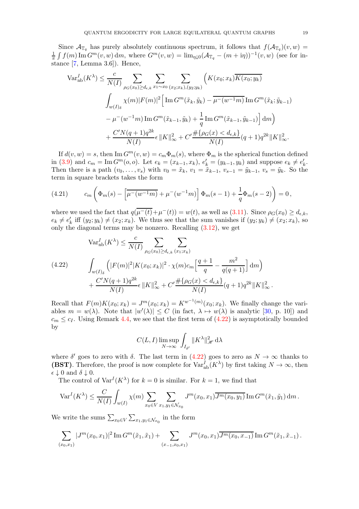Since  $\mathcal{A}_{\mathbb{T}_q}$  has purely absolutely continuous spectrum, it follows that  $f(\mathcal{A}_{\mathbb{T}_q})(v,w) =$ 1  $\frac{1}{\pi} \int f(m) \operatorname{Im} G^m(v, w) dm$ , where  $G^m(v, w) = \lim_{\eta \downarrow 0} (\mathcal{A}_{\mathbb{T}_q} - (m + i\eta))^{-1}(v, w)$  (see for instance [\[7,](#page-24-8) Lemma 3.6]). Hence,

$$
\operatorname{Var}_{\text{nb}}^{I}(K^{\lambda}) \leq \frac{c}{N(I)} \sum_{\rho_{G}(x_{0}) \geq d_{\epsilon,k}} \sum_{x_{1} \sim x_{0}} \sum_{(x_{2};x_{k}), (y_{2};y_{k})} \left( K(x_{0};x_{k}) \overline{K(x_{0};y_{k})} \right)
$$

$$
\int_{w(I)_{\delta}} \chi(m) |F(m)|^{2} \left[ \operatorname{Im} G^{m}(\tilde{x}_{k}, \tilde{y}_{k}) - \overline{\mu^{-}(w^{-1}m)} \operatorname{Im} G^{m}(\tilde{x}_{k}; \tilde{y}_{k-1}) - \mu^{-}(w^{-1}m) \operatorname{Im} G^{m}(\tilde{x}_{k-1}, \tilde{y}_{k}) + \frac{1}{q} \operatorname{Im} G^{m}(\tilde{x}_{k-1}, \tilde{y}_{k-1}) \right] dm \right)
$$

$$
+ \frac{C'N(q+1)q^{2k}}{N(I)} \epsilon \|K\|_{\infty}^{2} + C' \frac{\#\{\rho_{G}(x) < d_{\epsilon,k}\}}{N(I)} (q+1)q^{2k} \|K\|_{\infty}^{2}.
$$

If  $d(v, w) = s$ , then Im  $G^m(v, w) = c_m \Phi_m(s)$ , where  $\Phi_m$  is the spherical function defined in [\(3.9\)](#page-10-3) and  $c_m = \text{Im } G^m(o, o)$ . Let  $e_k = (x_{k-1}, x_k)$ ,  $e'_k = (y_{k-1}, y_k)$  and suppose  $e_k \neq e'_k$ . Then there is a path  $(v_0, \ldots, v_s)$  with  $v_0 = \tilde{x}_k$ ,  $v_1 = \tilde{x}_{k-1}$ ,  $v_{s-1} = \tilde{y}_{k-1}$ ,  $v_s = \tilde{y}_k$ . So the term in square brackets takes the form

<span id="page-18-1"></span>(4.21) 
$$
c_m\left(\Phi_m(s) - \left[\overline{\mu^-(w^{-1}m)} + \mu^-(w^{-1}m)\right]\Phi_m(s-1) + \frac{1}{q}\Phi_m(s-2)\right) = 0,
$$

where we used the fact that  $q(\mu^-(t)+\mu^-(t)) = w(t)$ , as well as  $(3.11)$ . Since  $\rho_G(x_0) \geq d_{\epsilon,k}$ ,  $e_k \neq e'_k$  iff  $(y_2; y_k) \neq (x_2; x_k)$ . We thus see that the sum vanishes if  $(y_2; y_k) \neq (x_2; x_k)$ , so only the diagonal terms may be nonzero. Recalling  $(3.12)$ , we get

<span id="page-18-0"></span>
$$
\begin{split} \n\text{Var}_{\text{nb}}^{I}(K^{\lambda}) &\leq \frac{c}{N(I)} \sum_{\rho_{G}(x_{0}) \geq d_{\epsilon,k}} \sum_{(x_{1};x_{k})} \\ \n\text{(4.22)} \qquad & \int_{w(I)_{\delta}} \left( |F(m)|^{2} |K(x_{0};x_{k})|^{2} \cdot \chi(m)c_{m} \left[ \frac{q+1}{q} - \frac{m^{2}}{q(q+1)} \right] \, \mathrm{d}m \right) \\ \n&+ \frac{C'N(q+1)q^{2k}}{N(I)} \epsilon \, \|K\|_{\infty}^{2} + C' \frac{\# \{ \rho_{G}(x) < d_{\epsilon,k} \}}{N(I)} (q+1)q^{2k} \|K\|_{\infty}^{2} \, . \n\end{split}
$$

Recall that  $F(m)K(x_0; x_k) = J^m(x_0; x_k) = K^{w^{-1}(m)}(x_0; x_k)$ . We finally change the variables  $m = w(\lambda)$ . Note that  $|w'(\lambda)| \leq C$  (in fact,  $\lambda \mapsto w(\lambda)$  is analytic [\[30,](#page-25-23) p. 10]) and  $c_m \leq c_I$ . Using Remark [4.4,](#page-16-0) we see that the first term of  $(4.22)$  is asymptotically bounded by

$$
C(L,I)\limsup_{N\to\infty}\int_{I_{\delta'}}\|K^\lambda\|_{\mathscr H}^2\,\mathrm{d}\lambda
$$

where  $\delta'$  goes to zero with  $\delta$ . The last term in  $(4.22)$  goes to zero as  $N \to \infty$  thanks to **(BST)**. Therefore, the proof is now complete for  $\text{Var}_{\text{nb}}^{\tilde{I}}(K^{\lambda})$  by first taking  $N \to \infty$ , then  $\epsilon \downarrow 0$  and  $\delta \downarrow 0$ .

The control of  $\text{Var}^I(K^{\lambda})$  for  $k=0$  is similar. For  $k=1$ , we find that

$$
\text{Var}^{I}(K^{\lambda}) \leq \frac{C}{N(I)} \int_{w(I)} \chi(m) \sum_{x_0 \in V} \sum_{x_1, y_1 \in \mathcal{N}_{x_0}} J^{m}(x_0, x_1) \overline{J^{m}(x_0, y_1)} \operatorname{Im} G^{m}(\tilde{x}_1, \tilde{y}_1) dm.
$$

We write the sums  $\sum_{x_0 \in V} \sum_{x_1, y_1 \in \mathcal{N}_{x_0}}$  in the form

$$
\sum_{(x_0,x_1)} |J^m(x_0,x_1)|^2 \operatorname{Im} G^m(\tilde{x}_1,\tilde{x}_1) + \sum_{(x_{-1},x_0,x_1)} J^m(x_0,x_1) \overline{J^m(x_0,x_{-1})} \operatorname{Im} G^m(\tilde{x}_1,\tilde{x}_{-1}).
$$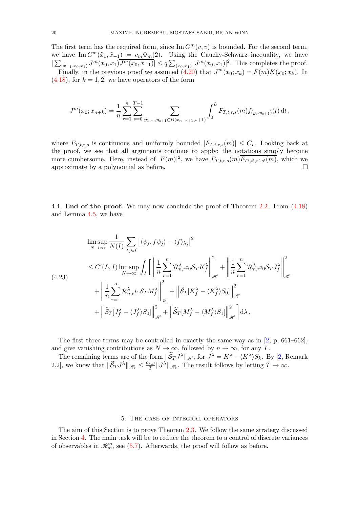The first term has the required form, since  $\text{Im } G^m(v, v)$  is bounded. For the second term, we have  $\text{Im } G^m(\tilde{x}_1, \tilde{x}_{-1}) = c_m \Phi_m(2)$ . Using the Cauchy-Schwarz inequality, we have  $|\sum_{(x-1,x_0,x_1)} J^m(x_0,x_1) \overline{J^m(x_0,x_{-1})}| \leq q \sum_{(x_0,x_1)} |J^m(x_0,x_1)|^2$ . This completes the proof. Finally, in the previous proof we assumed  $(4.20)$  that  $J^m(x_0; x_k) = F(m)K(x_0; x_k)$ . In  $(4.18)$ , for  $k = 1, 2$ , we have operators of the form

$$
J^m(x_0; x_{n+k}) = \frac{1}{n} \sum_{r=1}^n \sum_{s=0}^{T-1} \sum_{y_1, \dots, y_{s+1} \in B(x_{n-r+1}, s+1)} \int_0^L F_{T,t,r,s}(m) f_{(y_s, y_{s+1})}(t) dt,
$$

where  $F_{T,t,r,s}$  is continuous and uniformly bounded  $|F_{T,t,r,s}(m)| \leq C_I$ . Looking back at the proof, we see that all arguments continue to apply; the notations simply become more cumbersome. Here, instead of  $|F(m)|^2$ , we have  $F_{T,t,r,s}(m)$ ,  $\overline{F_{T',t',r',s'}(m)}$ , which we approximate by a polynomial as before.

4.4. End of the proof. We may now conclude the proof of Theorem [2.2.](#page-4-1) From [\(4.18\)](#page-15-1) and Lemma [4.5,](#page-16-1) we have

$$
\limsup_{N \to \infty} \frac{1}{N(I)} \sum_{\lambda_j \in I} |\langle \psi_j, f \psi_j \rangle - \langle f \rangle_{\lambda_j}|^2
$$
\n
$$
\leq C'(L, I) \limsup_{N \to \infty} \int_I \left[ \left\| \frac{1}{n} \sum_{r=1}^n \mathcal{R}_{n,r}^{\lambda} i_0 \mathcal{S}_T K_f^{\lambda} \right\|_{\mathcal{H}}^2 + \left\| \frac{1}{n} \sum_{r=1}^n \mathcal{R}_{n,r}^{\lambda} i_0 \mathcal{S}_T J_f^{\lambda} \right\|_{\mathcal{H}}^2
$$
\n
$$
+ \left\| \frac{1}{n} \sum_{r=1}^n \mathcal{R}_{n,r}^{\lambda} i_1 \mathcal{S}_T M_f^{\lambda} \right\|_{\mathcal{H}}^2 + \left\| \widetilde{\mathcal{S}}_T [K_f^{\lambda} - \langle K_f^{\lambda} \rangle S_0] \right\|_{\mathcal{H}}^2
$$
\n
$$
+ \left\| \widetilde{\mathcal{S}}_T [J_f^{\lambda} - \langle J_f^{\lambda} \rangle S_0] \right\|_{\mathcal{H}}^2 + \left\| \widetilde{\mathcal{S}}_T [M_f^{\lambda} - \langle M_f^{\lambda} \rangle S_1] \right\|_{\mathcal{H}}^2 \right] d\lambda,
$$

The first three terms may be controlled in exactly the same way as in [\[2,](#page-24-1) p. 661–662], and give vanishing contributions as  $N \to \infty$ , followed by  $n \to \infty$ , for any T.

The remaining terms are of the form  $\|\widetilde{S}_T J^{\lambda}\|_{\mathscr{H}}$ , for  $J^{\lambda} = K^{\lambda} - \langle K^{\lambda} \rangle S_k$ . By [\[2,](#page-24-1) Remark 2.2], we know that  $\|\widetilde{S}_T J^{\lambda}\|_{\mathscr{H}_k} \leq \frac{c_{k,\beta}}{T}$  $\frac{k,\beta}{T}$  || $J^{\lambda}$ || $\mathscr{H}_k$ . The result follows by letting  $T \to \infty$ .

### 5. The case of integral operators

<span id="page-19-0"></span>The aim of this Section is to prove Theorem [2.3.](#page-5-0) We follow the same strategy discussed in Section [4.](#page-10-0) The main task will be to reduce the theorem to a control of discrete variances of observables in  $\mathcal{H}_m^o$ , see [\(5.7\)](#page-21-0). Afterwards, the proof will follow as before.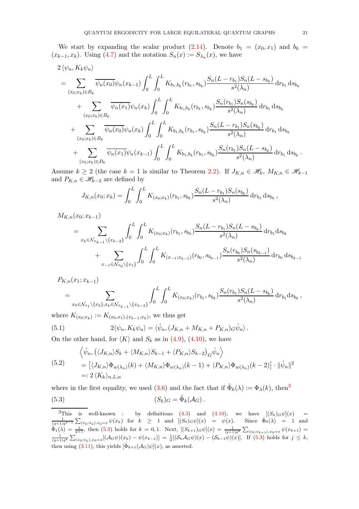We start by expanding the scalar product [\(2.14\)](#page-5-1). Denote  $b_1 = (x_0, x_1)$  and  $b_k =$  $(x_{k-1}, x_k)$ . Using [\(4.7\)](#page-12-5) and the notation  $S_n(x) := S_{\lambda_n}(x)$ , we have

$$
2 \langle \psi_n, K_k \psi_n \rangle
$$
  
\n
$$
= \sum_{(x_0; x_k) \in B_k} \overline{\psi_n(x_0)} \psi_n(x_{k-1}) \int_0^L \int_0^L K_{b_1, b_k}(r_{b_1}, s_{b_k}) \frac{S_n(L - r_{b_1})S_n(L - s_{b_k})}{s^2(\lambda_n)} dr_{b_1} ds_{b_k}
$$
  
\n
$$
+ \sum_{(x_0; x_k) \in B_k} \overline{\psi_n(x_1)} \psi_n(x_k) \int_0^L \int_0^L K_{b_1, b_k}(r_{b_1}, s_{b_k}) \frac{S_n(r_{b_1})S_n(s_{b_k})}{s^2(\lambda_n)} dr_{b_1} ds_{b_k}
$$
  
\n
$$
+ \sum_{(x_0; x_k) \in B_k} \overline{\psi_n(x_0)} \psi_n(x_k) \int_0^L \int_0^L K_{b_1, b_k}(r_{b_1}, s_{b_k}) \frac{S_n(L - r_{b_1})S_n(s_{b_k})}{s^2(\lambda_n)} dr_{b_1} ds_{b_k}
$$
  
\n
$$
+ \sum_{(x_0; x_k) \in B_k} \overline{\psi_n(x_1)} \psi_n(x_{k-1}) \int_0^L \int_0^L K_{b_1, b_k}(r_{b_1}, s_{b_k}) \frac{S_n(r_{b_1})S_n(L - s_{b_k})}{s^2(\lambda_n)} dr_{b_1} ds_{b_k}.
$$

Assume  $k \geq 2$  (the case  $k = 1$  is similar to Theorem [2.2\)](#page-4-1). If  $J_{K,n} \in \mathcal{H}_k$ ,  $M_{K,n} \in \mathcal{H}_{k-1}$ and  $P_{K,n} \in \mathcal{H}_{k-2}$  are defined by

$$
J_{K,n}(x_0;x_k) = \int_0^L \int_0^L K_{(x_0;x_k)}(r_{b_1},s_{b_k}) \frac{S_n(L-r_{b_1})S_n(s_{b_k})}{s^2(\lambda_n)} dr_{b_1} ds_{b_k},
$$

 $M_{K,n}(x_0; x_{k-1})$ 

$$
= \sum_{x_k \in \mathcal{N}_{x_{k-1}} \backslash \{x_{k-2}\}} \int_0^L \int_0^L K_{(x_0; x_k)}(r_{b_1}, s_{b_k}) \frac{S_n(L - r_{b_1})S_n(L - s_{b_k})}{s^2(\lambda_n)} dr_{b_1} ds_{b_k}
$$
  
+ 
$$
\sum_{x_{-1} \in \mathcal{N}_{x_0} \backslash \{x_1\}} \int_0^L \int_0^L K_{(x_{-1}; x_{k-1})}(r_{b_0}, s_{b_{k-1}}) \frac{S_n(r_{b_0})S_n(s_{b_{k-1}})}{s^2(\lambda_n)} dr_{b_0} ds_{b_{k-1}}
$$

 $P_{K,n}(x_1; x_{k-1})$ 

<span id="page-20-2"></span>
$$
= \sum_{x_0 \in \mathcal{N}_{x_1} \backslash \{x_2\}, x_k \in \mathcal{N}_{x_{k-1}} \backslash \{x_{k-2}\}} \int_0^L \int_0^L K_{(x_0; x_k)}(r_{b_1}, s_{b_k}) \frac{S_n(r_{b_1}) S_n(L - s_{b_k})}{s^2(\lambda_n)} \, dr_{b_1} ds_{b_k},
$$

where  $K_{(x_0; x_k)} := K_{(x_0, x_1),(x_{k-1},x_k)}$ , we thus get

(5.1) 
$$
2\langle \psi_n, K_k \psi_n \rangle = \langle \mathring{\psi}_n, (J_{K,n} + M_{K,n} + P_{K,n})_G \mathring{\psi}_n \rangle.
$$

On the other hand, for  $\langle K \rangle$  and  $S_k$  as in [\(4.9\)](#page-12-6), [\(4.10\)](#page-12-4), we have

<span id="page-20-3"></span>
$$
\begin{aligned}\n\left\langle \psi_n, \left( \langle J_{K,n} \rangle S_k + \langle M_{K,n} \rangle S_{k-1} + \langle P_{K,n} \rangle S_{k-2} \right)_{G} \psi_n \right\rangle \\
&= \left[ \langle J_{K,n} \rangle \Phi_{w(\lambda_n)}(k) + \langle M_{K,n} \rangle \Phi_{w(\lambda_n)}(k-1) + \langle P_{K,n} \rangle \Phi_{w(\lambda_n)}(k-2) \right] \cdot \|\psi_n\|^2 \\
&=: 2 \langle K_k \rangle_{n,L,\alpha}\n\end{aligned}
$$

where in the first equality, we used [\(3.6\)](#page-8-3) and the fact that if  $\tilde{\Phi}_k(\lambda) := \Phi_{\lambda}(k)$ , then<sup>[3](#page-20-0)</sup>

<span id="page-20-1"></span>(5.3) 
$$
(S_k)_G = \tilde{\Phi}_k(\mathcal{A}_G).
$$

<span id="page-20-0"></span><sup>&</sup>lt;sup>3</sup>This is well-known : by definitions [\(4.3\)](#page-11-1) and [\(4.10\)](#page-12-4), we have  $[(S_k)G\psi](x) = \frac{1}{(q+1)q^{k-1}}\sum_{(x_0;x_k),x_0=x}\psi(x_k)$  for  $k \ge 1$  and  $[(S_0)G\psi](x) = \psi(x)$ . Since  $\tilde{\Phi}_0(\lambda) = 1$  and  $\tilde{\Phi}_1(\lambda) = \frac{\lambda}{q+1}$ , then [\(5.3\)](#page-20-1) holds for  $k = 0, 1$ . Next,  $[(S_{k+1})_G\psi](x) = \frac{1}{(q+1)q^k} \sum_{(x_0; x_{k+1}), x_0 = x} \psi(x_{k+1}) =$  $\frac{1}{(q+1)q^k}\sum_{(x_0,x_k),x_0=x}[(\mathcal{A}_G\psi)(x_k)-\psi(x_{k-1})]=\frac{1}{q}[(\mathcal{S}_k\mathcal{A}_G\psi)(x)-(\mathcal{S}_{k-1}\psi)(x)].$  If [\(5.3\)](#page-20-1) holds for  $j\leq k$ , then using [\(3.11\)](#page-10-4), this yields  $[\tilde{\Phi}_{k+1}(\mathcal{A}_G)\psi](x)$ , as asserted.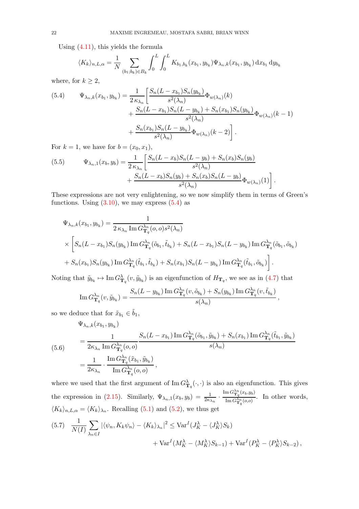Using [\(4.11\)](#page-12-0), this yields the formula

$$
\langle K_k \rangle_{n,L,\alpha} = \frac{1}{N} \sum_{(b_1; b_k) \in B_k} \int_0^L \int_0^L K_{b_1,b_k}(x_{b_1}, y_{b_k}) \Psi_{\lambda_n,k}(x_{b_1}, y_{b_k}) dx_{b_1} dy_{b_k}
$$

where, for  $k \geq 2$ ,

<span id="page-21-1"></span>(5.4) 
$$
\Psi_{\lambda_n,k}(x_{b_1}, y_{b_k}) = \frac{1}{2 \kappa_{\lambda_n}} \left[ \frac{S_n (L - x_{b_1}) S_n (y_{b_k})}{s^2 (\lambda_n)} \Phi_{w(\lambda_n)}(k) + \frac{S_n (L - x_{b_1}) S_n (L - y_{b_k}) + S_n (x_{b_1}) S_n (y_{b_k})}{s^2 (\lambda_n)} \Phi_{w(\lambda_n)}(k-1) + \frac{S_n (x_{b_1}) S_n (L - y_{b_k})}{s^2 (\lambda_n)} \Phi_{w(\lambda_n)}(k-2) \right].
$$

For  $k = 1$ , we have for  $b = (x_0, x_1)$ ,

<span id="page-21-2"></span>(5.5) 
$$
\Psi_{\lambda_n,1}(x_b, y_b) = \frac{1}{2 \kappa_{\lambda_n}} \left[ \frac{S_n (L - x_b) S_n (L - y_b) + S_n(x_b) S_n(y_b)}{s^2(\lambda_n)} + \frac{S_n (L - x_b) S_n(y_b) + S_n(x_b) S_n (L - y_b)}{s^2(\lambda_n)} \Phi_{w(\lambda_n)}(1) \right].
$$

These expressions are not very enlightening, so we now simplify them in terms of Green's functions. Using  $(3.10)$ , we may express  $(5.4)$  as

$$
\Psi_{\lambda_n,k}(x_{b_1}, y_{b_k}) = \frac{1}{2 \kappa_{\lambda_n} \operatorname{Im} G_{\mathbf{T}_q}^{\lambda_n}(o, o) s^2(\lambda_n)} \times \left[ S_n(L - x_{b_1}) S_n(y_{b_k}) \operatorname{Im} G_{\mathbf{T}_q}^{\lambda_n}(\tilde{o}_{b_1}, \tilde{t}_{b_k}) + S_n(L - x_{b_1}) S_n(L - y_{b_k}) \operatorname{Im} G_{\mathbf{T}_q}^{\lambda_n}(\tilde{o}_{b_1}, \tilde{o}_{b_k}) + S_n(x_{b_1}) S_n(y_{b_k}) \operatorname{Im} G_{\mathbf{T}_q}^{\lambda_n}(\tilde{t}_{b_1}, \tilde{t}_{b_k}) + S_n(x_{b_1}) S_n(L - y_{b_k}) \operatorname{Im} G_{\mathbf{T}_q}^{\lambda_n}(\tilde{t}_{b_1}, \tilde{o}_{b_k}) \right].
$$

Noting that  $\tilde{y}_{b_k} \mapsto \text{Im} G_{\mathbf{T}_q}^{\lambda}(v, \tilde{y}_{b_k})$  is an eigenfunction of  $H_{\mathbf{T}_q}$ , we see as in [\(4.7\)](#page-12-5) that

$$
\operatorname{Im} G^{\lambda_n}_{\mathbf{T}_q}(v, \tilde{y}_{b_k}) = \frac{S_n(L - y_{b_k}) \operatorname{Im} G^{\lambda_n}_{\mathbf{T}_q}(v, \tilde{o}_{b_k}) + S_n(y_{b_k}) \operatorname{Im} G^{\lambda_n}_{\mathbf{T}_q}(v, \tilde{t}_{b_k})}{s(\lambda_n)},
$$

so we deduce that for  $\tilde{x}_{b_1} \in \tilde{b}_1$ ,

<span id="page-21-3"></span>(5.6)  
\n
$$
\Psi_{\lambda_n,k}(x_{b_1}, y_{b_k})
$$
\n
$$
= \frac{1}{2\kappa_{\lambda_n} \operatorname{Im} G_{\mathbf{T}_q}^{\lambda_n}(o,o)} \frac{S_n(L - x_{b_1}) \operatorname{Im} G_{\mathbf{T}_q}^{\lambda_n}(\tilde{o}_{b_1}, \tilde{y}_{b_k}) + S_n(x_{b_1}) \operatorname{Im} G_{\mathbf{T}_q}^{\lambda_n}(\tilde{t}_{b_1}, \tilde{y}_{b_k})}{s(\lambda_n)}
$$
\n
$$
= \frac{1}{2\kappa_{\lambda_n}} \cdot \frac{\operatorname{Im} G_{\mathbf{T}_q}^{\lambda_n}(\tilde{x}_{b_1}, \tilde{y}_{b_k})}{\operatorname{Im} G_{\mathbf{T}_q}^{\lambda_n}(o,o)},
$$

where we used that the first argument of  $\text{Im } G^{\lambda}_{\mathbf{T}_q}(\cdot, \cdot)$  is also an eigenfunction. This gives the expression in [\(2.15\)](#page-6-3). Similarly,  $\Psi_{\lambda_n,1}(x_b, y_b) = \frac{1}{2\kappa_{\lambda_n}}$ .  $\operatorname{Im} G^{\lambda n}_{\mathbf{T}_q}(x_b,y_b)$  $\frac{I_q(\log S)}{\log \frac{C}{\log q}(o,o)}$ . In other words,  $\langle K_k \rangle_{n,L,\alpha} = \langle K_k \rangle_{\lambda_n}$ . Recalling [\(5.1\)](#page-20-2) and [\(5.2\)](#page-20-3), we thus get

<span id="page-21-0"></span>(5.7) 
$$
\frac{1}{N(I)} \sum_{\lambda_n \in I} |\langle \psi_n, K_k \psi_n \rangle - \langle K_k \rangle_{\lambda_n}|^2 \leq \text{Var}^I(J_K^{\lambda} - \langle J_K^{\lambda} \rangle S_k) + \text{Var}^I(M_K^{\lambda} - \langle M_K^{\lambda} \rangle S_{k-1}) + \text{Var}^I(P_K^{\lambda} - \langle P_K^{\lambda} \rangle S_{k-2}),
$$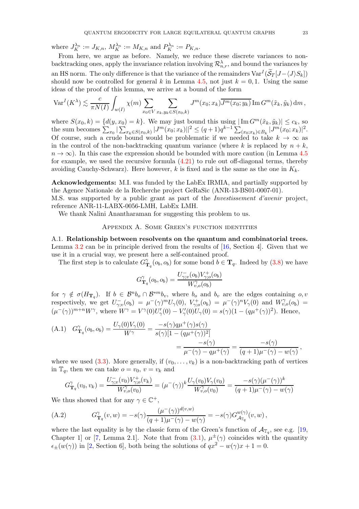where  $J_K^{\lambda_n} := J_{K,n}$ ,  $M_K^{\lambda_n} := M_{K,n}$  and  $P_K^{\lambda_n} := P_{K,n}$ .

From here, we argue as before. Namely, we reduce these discrete variances to nonbacktracking ones, apply the invariance relation involving  $\mathcal{R}_{n,r}^{\lambda}$ , and bound the variances by an HS norm. The only difference is that the variance of the remainders  $\text{Var}^I(\tilde{S}_T[J-\langle J\rangle S_k])$ should now be controlled for general k in Lemma [4.5,](#page-16-1) not just  $k = 0, 1$ . Using the same ideas of the proof of this lemma, we arrive at a bound of the form

$$
\text{Var}^{I}(K^{\lambda}) \lesssim \frac{c}{\pi N(I)} \int_{w(I)} \chi(m) \sum_{x_0 \in V} \sum_{x_k, y_k \in S(x_0, k)} J^{m}(x_0; x_k) \overline{J^{m}(x_0; y_k)} \operatorname{Im} G^{m}(\tilde{x}_k, \tilde{y}_k) dm,
$$

where  $S(x_0, k) = \{d(y, x_0) = k\}$ . We may just bound this using  $|\operatorname{Im} G^m(\tilde{x}_k, \tilde{y}_k)| \leq c_k$ , so the sum becomes  $\sum_{x_0} |\sum_{x_k \in S(x_0,k)} |J^m(x_0; x_k)||^2 \leq (q+1)q^{k-1} \sum_{(x_0; x_k) \in B_k} |J^m(x_0; x_k)|^2$ . Of course, such a crude bound would be problematic if we needed to take  $k \to \infty$  as in the control of the non-backtracking quantum variance (where k is replaced by  $n + k$ ,  $n \to \infty$ ). In this case the expression should be bounded with more caution (in Lemma [4.5](#page-16-1) for example, we used the recursive formula [\(4.21\)](#page-18-1) to rule out off-diagonal terms, thereby avoiding Cauchy-Schwarz). Here however, k is fixed and is the same as the one in  $K_k$ .

Acknowledgements: M.I. was funded by the LabEx IRMIA, and partially supported by the Agence Nationale de la Recherche project GeRaSic (ANR-13-BS01-0007-01).

M.S. was supported by a public grant as part of the Investissement d'avenir project, reference ANR-11-LABX-0056-LMH, LabEx LMH.

<span id="page-22-0"></span>We thank Nalini Anantharaman for suggesting this problem to us.

## Appendix A. Some Green's function identities

<span id="page-22-1"></span>A.1. Relationship between resolvents on the quantum and combinatorial trees. Lemma [3.2](#page-9-2) can be in principle derived from the results of  $[16, Section 4]$ . Given that we use it in a crucial way, we present here a self-contained proof.

The first step is to calculate  $G_{\mathbf{T}_q}^{\gamma}(o_b, o_b)$  for some bond  $b \in \mathbf{T}_q$ . Indeed by [\(3.8\)](#page-9-0) we have

$$
G_{\mathbf{T}_q}^{\gamma}(o_b, o_b) = \frac{U_{\gamma;v}^-(o_b)V_{\gamma;o}^+(o_b)}{W_{v,o}^{\gamma}(o_b)}
$$

for  $\gamma \notin \sigma(H_{\mathbf{T}_q})$ . If  $b \in \mathcal{B}^n b_o \cap \mathcal{B}^{*m} b_v$ , where  $b_o$  and  $b_v$  are the edges containing  $o, v$ respectively, we get  $U_{\gamma,\nu}^-(o_b) = \mu^-(\gamma)^m U_{\gamma}(0)$ ,  $V_{\gamma,o}^+(o_b) = \mu^-(\gamma)^n V_{\gamma}(0)$  and  $W_{\nu,o}^{\gamma}(o_b) =$  $(\mu^-(\gamma))^{m+n}W^{\gamma}$ , where  $W^{\gamma} = V^{\gamma}(0)U'_{\gamma}(0) - V'_{\gamma}(0)U_{\gamma}(0) = s(\gamma)(1 - (q\mu^+(\gamma))^2)$ . Hence,

<span id="page-22-3"></span>(A.1) 
$$
G_{\mathbf{T}_q}^{\gamma}(o_b, o_b) = \frac{U_{\gamma}(0)V_{\gamma}(0)}{W^{\gamma}} = \frac{-s(\gamma)q\mu^{+}(\gamma)s(\gamma)}{s(\gamma)[1 - (q\mu^{+}(\gamma))^{2}]} = \frac{-s(\gamma)}{\mu^{-}(\gamma) - q\mu^{+}(\gamma)} = \frac{-s(\gamma)}{(q+1)\mu^{-}(\gamma) - w(\gamma)},
$$

where we used  $(3.3)$ . More generally, if  $(v_0, \ldots, v_k)$  is a non-backtracking path of vertices in  $\mathbb{T}_q$ , then we can take  $o = v_0$ ,  $v = v_k$  and

$$
G_{\mathbf{T}_q}^{\gamma}(v_0, v_k) = \frac{U_{\gamma;v}^-(v_0)V_{\gamma;o}^+(v_k)}{W_{v,o}^{\gamma}(v_0)} = (\mu^-(\gamma))^k \frac{U_{\gamma}(v_0)V_{\gamma}(v_0)}{W_{v,o}^{\gamma}(v_0)} = \frac{-s(\gamma)(\mu^-(\gamma))^k}{(q+1)\mu^-(\gamma) - w(\gamma)}
$$

We thus showed that for any  $\gamma \in \mathbb{C}^+$ ,

<span id="page-22-2"></span>(A.2) 
$$
G_{\mathbf{T}_q}^{\gamma}(v, w) = -s(\gamma) \frac{(\mu^{-}(\gamma))^{d(v, w)}}{(q+1)\mu^{-}(\gamma) - w(\gamma)} = -s(\gamma) G_{\mathcal{A}_{\mathbb{T}_q}}^{w(\gamma)}(v, w) ,
$$

where the last equality is by the classic form of the Green's function of  $\mathcal{A}_{\mathbb{T}_q}$ , see e.g. [\[19,](#page-25-24) Chapter 1 or [\[7,](#page-24-8) Lemma 2.1]. Note that from  $(3.1)$ ,  $\mu^{\pm}(\gamma)$  coincides with the quantity  $\epsilon_{\pm}(w(\gamma))$  in [\[2,](#page-24-1) Section 6], both being the solutions of  $qx^2 - w(\gamma)x + 1 = 0$ .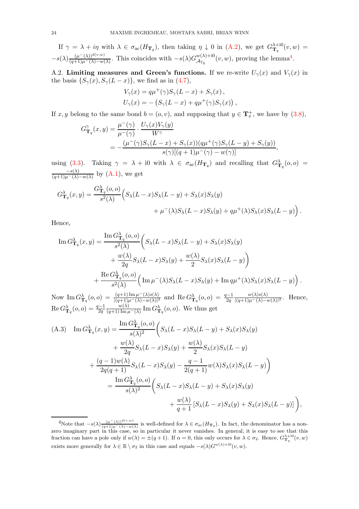If  $\gamma = \lambda + i\eta$  with  $\lambda \in \sigma_{ac}(H_{\mathbf{T}_q})$ , then taking  $\eta \downarrow 0$  in  $(A.2)$ , we get  $G_{\mathbf{T}_q}^{\lambda+i0}(v,w)$  =  $-s(\lambda)\frac{(\mu^-(\lambda))^{d(v,w)}}{(q+1)\mu^-(\lambda)-w()}$  $\frac{(\mu^-(\lambda))^{d(v,w)}}{(q+1)\mu^-(\lambda)-w(\lambda)}$ . This coincides with  $-s(\lambda)G^{w(\lambda)+i0}_{\mathcal{A}_{\mathbb{T}_q}}$  $\mathcal{A}_{\mathbb{T}_q}^{w(\lambda)+i0}(v,w)$ , proving the lemma<sup>[4](#page-23-1)</sup>.

<span id="page-23-0"></span>A.2. Limiting measures and Green's functions. If we re-write  $U_{\gamma}(x)$  and  $V_{\gamma}(x)$  in the basis  $\{S_{\gamma}(x), S_{\gamma}(L-x)\}\)$ , we find as in [\(4.7\)](#page-12-5),

$$
V_{\gamma}(x) = q\mu^{+}(\gamma)S_{\gamma}(L - x) + S_{\gamma}(x),
$$
  

$$
U_{\gamma}(x) = -\left(S_{\gamma}(L - x) + q\mu^{+}(\gamma)S_{\gamma}(x)\right),
$$

If x, y belong to the same bond  $b = (o, v)$ , and supposing that  $y \in \mathbf{T}_x^+$ , we have by  $(3.8)$ ,

$$
G_{\mathbf{T}_q}^{\gamma}(x,y) = \frac{\mu^{-}(\gamma)}{\mu^{-}(\gamma)} \cdot \frac{U_{\gamma}(x)V_{\gamma}(y)}{W^{\gamma}}
$$
  
= 
$$
-\frac{(\mu^{-}(\gamma)S_{\gamma}(L-x) + S_{\gamma}(x))(q\mu^{+}(\gamma)S_{\gamma}(L-y) + S_{\gamma}(y))}{s(\gamma)[(q+1)\mu^{-}(\gamma) - w(\gamma)]},
$$

using [\(3.3\)](#page-8-4). Taking  $\gamma = \lambda + i0$  with  $\lambda \in \sigma_{ac}(H_{\mathbf{T}_q})$  and recalling that  $G_{\mathbf{T}_q}^{\lambda}(o, o)$  =  $\frac{-s(\lambda)}{(q+1)\mu^-(\lambda)-w(\lambda)}$  by  $(A.1)$ , we get

$$
G_{\mathbf{T}_q}^{\lambda}(x,y) = \frac{G_{\mathbf{T}_q}^{\lambda}(o,o)}{s^2(\lambda)} \Big( S_{\lambda}(L-x)S_{\lambda}(L-y) + S_{\lambda}(x)S_{\lambda}(y) + \mu^-(\lambda)S_{\lambda}(L-x)S_{\lambda}(y) + q\mu^+(\lambda)S_{\lambda}(x)S_{\lambda}(L-y) \Big).
$$

Hence,

$$
\operatorname{Im} G_{\mathbf{T}_q}^{\lambda}(x, y) = \frac{\operatorname{Im} G_{\mathbf{T}_q}^{\lambda}(o, o)}{s^2(\lambda)} \bigg( S_{\lambda}(L - x) S_{\lambda}(L - y) + S_{\lambda}(x) S_{\lambda}(y) \n+ \frac{w(\lambda)}{2q} S_{\lambda}(L - x) S_{\lambda}(y) + \frac{w(\lambda)}{2} S_{\lambda}(x) S_{\lambda}(L - y) \bigg) \n+ \frac{\operatorname{Re} G_{\mathbf{T}_q}^{\lambda}(o, o)}{s^2(\lambda)} \Big( \operatorname{Im} \mu^{-}(\lambda) S_{\lambda}(L - x) S_{\lambda}(y) + \operatorname{Im} q \mu^{+}(\lambda) S_{\lambda}(x) S_{\lambda}(L - y) \Big).
$$

Now  $\text{Im } G^{\lambda}_{\mathbf{T}_q}(o, o) = \frac{(q+1)\text{Im }\mu^{-}(\lambda)s(\lambda)}{|(q+1)\mu^{-}(\lambda)-w(\lambda)|^2}$  and  $\text{Re } G^{\lambda}_{\mathbf{T}_q}(o, o) = \frac{q-1}{2q}$  $\frac{w(\lambda)s(\lambda)}{|(q+1)\mu-(\lambda)-w(\lambda)|^2}$ . Hence,  $\operatorname{Re} G^{\lambda}_{\mathbf{T}_q}(o, o) = \frac{q-1}{2q}$  $\frac{w(\lambda)}{(q+1)\operatorname{Im}\mu^{-}(\lambda)}\operatorname{Im}G^{\lambda}_{\mathbf{T}_q}(o,o)$ . We thus get

<span id="page-23-2"></span>(A.3) Im 
$$
G_{\mathbf{T}_q}^{\lambda}(x, y) = \frac{\text{Im } G_{\mathbf{T}_q}^{\lambda}(o, o)}{s(\lambda)^2} \Big( S_{\lambda}(L - x) S_{\lambda}(L - y) + S_{\lambda}(x) S_{\lambda}(y)
$$
  
+  $\frac{w(\lambda)}{2q} S_{\lambda}(L - x) S_{\lambda}(y) + \frac{w(\lambda)}{2} S_{\lambda}(x) S_{\lambda}(L - y)$   
+  $\frac{(q - 1)w(\lambda)}{2q(q + 1)} S_{\lambda}(L - x) S_{\lambda}(y) - \frac{q - 1}{2(q + 1)} w(\lambda) S_{\lambda}(x) S_{\lambda}(L - y) \Big)$   
=  $\frac{\text{Im } G_{\mathbf{T}_q}^{\lambda}(o, o)}{s(\lambda)^2} \Big( S_{\lambda}(L - x) S_{\lambda}(L - y) + S_{\lambda}(x) S_{\lambda}(y) + \frac{w(\lambda)}{q + 1} [S_{\lambda}(L - x) S_{\lambda}(y) + S_{\lambda}(x) S_{\lambda}(L - y)] \Big)$ ,

<span id="page-23-1"></span><sup>&</sup>lt;sup>4</sup>Note that  $-s(\lambda) \frac{(\mu^{-}(\lambda))^{d(v,w)}}{(q+1)\mu^{-}(\lambda)-w(\lambda)}$  is well-defined for  $\lambda \in \sigma_{ac}(H_{\mathbf{T}_q})$ . In fact, the denominator has a nonzero imaginary part in this case, so in particular it never vanishes. In general, it is easy to see that this fraction can have a pole only if  $w(\lambda) = \pm (q+1)$ . If  $\alpha = 0$ , this only occurs for  $\lambda \in \sigma_2$ . Hence,  $G^{\lambda+10}_{\mathbf{T}_q}(v, w)$ exists more generally for  $\lambda \in \mathbb{R} \setminus \sigma_2$  in this case and equals  $-s(\lambda)G^{w(\lambda)+i0}(v, w)$ .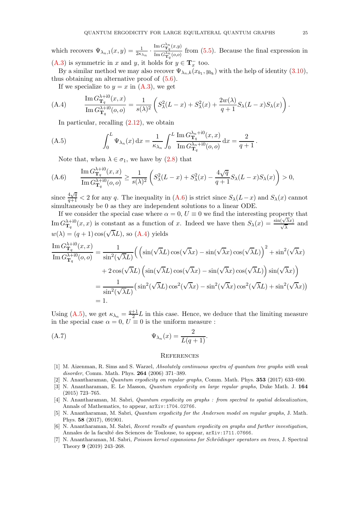which recovers  $\Psi_{\lambda_n,1}(x,y) = \frac{1}{2\kappa_{\lambda_n}}$ .  $\operatorname{Im} G^{\lambda_n}_{\mathbf{T}_q}(x,y)$  $\frac{\Gamma_{\text{I}_q}(\cdot,\cdot)}{\text{Im }G_{\text{T}_q}^{\lambda_n}(o,o)}$  from [\(5.5\)](#page-21-2). Because the final expression in [\(A.3\)](#page-23-2) is symmetric in x and y, it holds for  $y \in \mathbf{T}_x^-$  too.

By a similar method we may also recover  $\Psi_{\lambda_n,k}(x_{b_1},y_{b_k})$  with the help of identity  $(3.10)$ , thus obtaining an alternative proof of [\(5.6\)](#page-21-3).

<span id="page-24-7"></span>If we specialize to  $y = x$  in  $(A.3)$ , we get

(A.4) 
$$
\frac{\text{Im } G_{\mathbf{T}_q}^{\lambda+{\rm i}0}(x,x)}{\text{Im } G_{\mathbf{T}_q}^{\lambda+{\rm i}0}(o,o)} = \frac{1}{s(\lambda)^2} \left( S_{\lambda}^2(L-x) + S_{\lambda}^2(x) + \frac{2w(\lambda)}{q+1} S_{\lambda}(L-x) S_{\lambda}(x) \right).
$$

<span id="page-24-6"></span>In particular, recalling  $(2.12)$ , we obtain

(A.5) 
$$
\int_0^L \Psi_{\lambda_n}(x) dx = \frac{1}{\kappa_{\lambda_n}} \int_0^L \frac{\mathrm{Im} G_{\mathbf{T}_q}^{\lambda_n + i0}(x, x)}{\mathrm{Im} G_{\mathbf{T}_q}^{\lambda_n + i0}(o, o)} dx = \frac{2}{q+1}
$$

<span id="page-24-9"></span>Note that, when  $\lambda \in \sigma_1$ , we have by  $(2.8)$  that

(A.6) 
$$
\frac{\operatorname{Im} G_{\mathbf{T}_q}^{\lambda+i0}(x,x)}{\operatorname{Im} G_{\mathbf{T}_q}^{\lambda+i0}(o,o)} \ge \frac{1}{s(\lambda)^2} \left( S_{\lambda}^2(L-x) + S_{\lambda}^2(x) - \frac{4\sqrt{q}}{q+1} S_{\lambda}(L-x) S_{\lambda}(x) \right) > 0,
$$

since  $\frac{4\sqrt{q}}{q+1}$  < 2 for any q. The inequality in [\(A.6\)](#page-24-9) is strict since  $S_\lambda(L-x)$  and  $S_\lambda(x)$  cannot simultaneously be 0 as they are independent solutions to a linear ODE.

If we consider the special case where  $\alpha = 0, U \equiv 0$  we find the interesting property that Im  $G_{\mathbf{T}_q}^{\lambda+i0}(x,x)$  is constant as a function of x. Indeed we have then  $S_{\lambda}(x) = \frac{\sin(\sqrt{\lambda}x)}{\sqrt{\lambda}}$  and  $w(\lambda) = (q+1)\cos(\sqrt{\lambda}L)$ , so [\(A.4\)](#page-24-7) yields

$$
\frac{\operatorname{Im} G_{\mathbf{T}_q}^{\lambda+i0}(x,x)}{\operatorname{Im} G_{\mathbf{T}_q}^{\lambda+i0}(o,o)} = \frac{1}{\sin^2(\sqrt{\lambda}L)} \Big( \left( \sin(\sqrt{\lambda}L) \cos(\sqrt{\lambda}x) - \sin(\sqrt{\lambda}x) \cos(\sqrt{\lambda}L) \right)^2 + \sin^2(\sqrt{\lambda}x) \n+ 2 \cos(\sqrt{\lambda}L) \left( \sin(\sqrt{\lambda}L) \cos(\sqrt{\lambda}x) - \sin(\sqrt{\lambda}x) \cos(\sqrt{\lambda}L) \right) \sin(\sqrt{\lambda}x) \Big) \n= \frac{1}{\sin^2(\sqrt{\lambda}L)} \left( \sin^2(\sqrt{\lambda}L) \cos^2(\sqrt{\lambda}x) - \sin^2(\sqrt{\lambda}x) \cos^2(\sqrt{\lambda}L) + \sin^2(\sqrt{\lambda}x) \right) \n= 1.
$$

Using [\(A.5\)](#page-24-6), we get  $\kappa_{\lambda_n} = \frac{q+1}{2}$  $\frac{+1}{2}L$  in this case. Hence, we deduce that the limiting measure in the special case  $\alpha = 0, U \equiv 0$  is the uniform measure :

$$
\Psi_{\lambda_n}(x) = \frac{2}{L(q+1)}.
$$

#### **REFERENCES**

- <span id="page-24-5"></span>[1] M. Aizenman, R. Sims and S. Warzel, *Absolutely continuous spectra of quantum tree graphs with weak disorder*, Comm. Math. Phys. 264 (2006) 371–389.
- <span id="page-24-1"></span><span id="page-24-0"></span>[2] N. Anantharaman, *Quantum ergodicity on regular graphs*, Comm. Math. Phys. 353 (2017) 633–690.
- [3] N. Anantharaman, E. Le Masson, *Quantum ergodicity on large regular graphs*, Duke Math. J. 164 (2015) 723–765.
- <span id="page-24-2"></span>[4] N. Anantharaman, M. Sabri, *Quantum ergodicity on graphs : from spectral to spatial delocalization*, Annals of Mathematics, to appear, [arXiv:1704.02766](http://arxiv.org/abs/1704.02766).
- <span id="page-24-3"></span>[5] N. Anantharaman, M. Sabri, *Quantum ergodicity for the Anderson model on regular graphs*, J. Math. Phys. 58 (2017), 091901.
- <span id="page-24-4"></span>[6] N. Anantharaman, M. Sabri, *Recent results of quantum ergodicity on graphs and further investigation*, Annales de la faculté des Sciences de Toulouse, to appear, [arXiv:1711.07666](http://arxiv.org/abs/1711.07666).
- <span id="page-24-8"></span>[7] N. Anantharaman, M. Sabri, *Poisson kernel expansions for Schrödinger operators on trees*, J. Spectral Theory 9 (2019) 243–268.

.